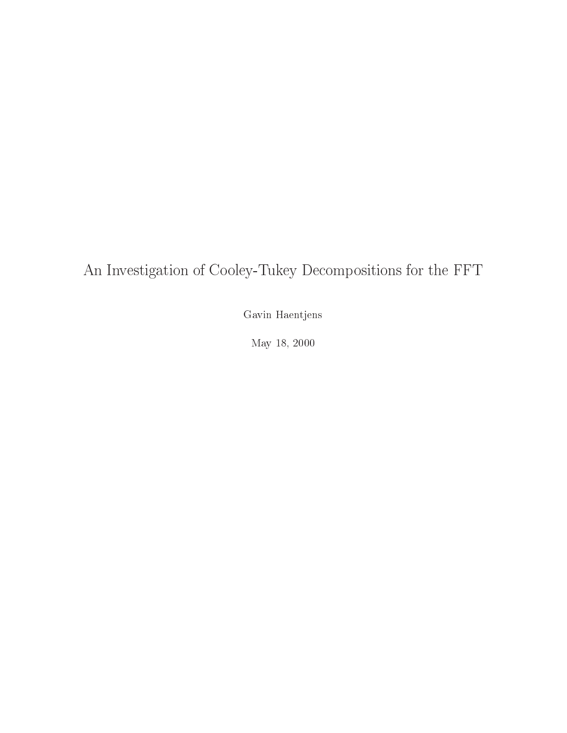## An Investigation of Cooley-Tukey Decompositions for the FFT

Gavin Haentjens

 $\ldots$ ,  $\ldots$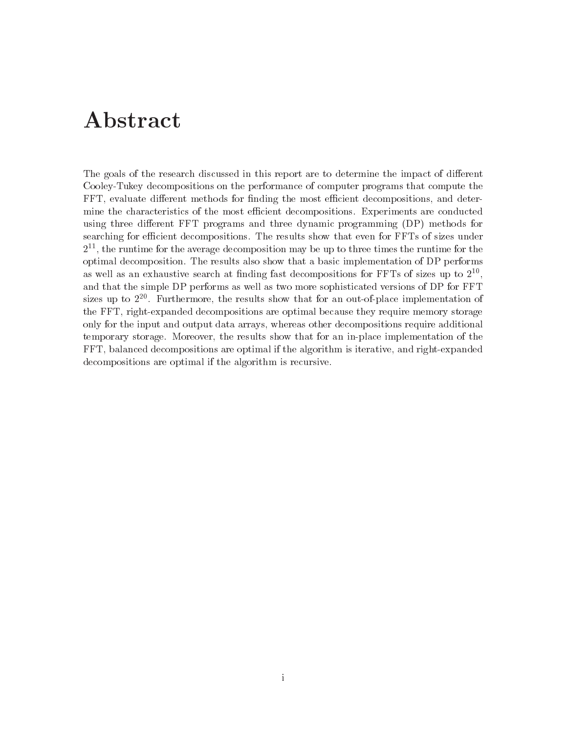# Abstract

The goals of the research discussed in this report are to determine the impact of di-erent Cooley-Tukey decompositions on the performance of computer programs that compute the FFT evaluate di-erent methods for nding the most ecient decompositions and deter mine the characteristics of the most efficient decompositions. Experiments are conducted where  $e$  three distribution for the programs and three dynamics for  $\alpha$  problems  $\alpha$  and  $\alpha$  and  $\alpha$  and  $\alpha$ searching for efficient decompositions. The results show that even for FFTs of sizes under  $\mathcal{I}^{**}$ , the runtime for the average decomposition may be up to three times the runtime for the optimal decomposition The results also show that a basic implementation of DP performs as well as an exhaustive search at finding fast decompositions for FFTs of sizes up to  $2^{--},$ and that the simple DP performs as well as two more sophisticated versions of DP for FFT sizes up to 2<sup>2</sup>°. Furthermore, the results show that for an out-of-place implementation of the FFT, right-expanded decompositions are optimal because they require memory storage only for the input and output data arrays whereas other decompositions require additional temporary storage. Moreover, the results show that for an in-place implementation of the FFT, balanced decompositions are optimal if the algorithm is iterative, and right-expanded decompositions are optimal if the algorithm is recursive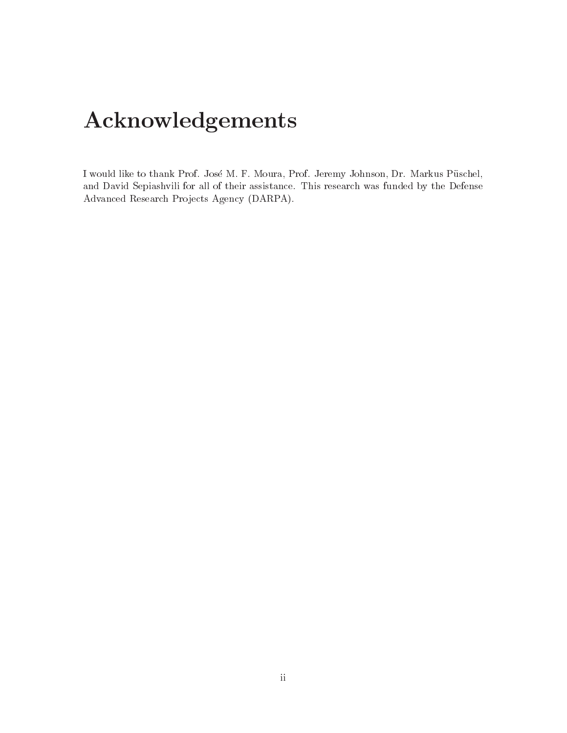# Acknowledgements

I would like to thank Prof. José M. F. Moura, Prof. Jeremy Johnson, Dr. Markus Püschel, and David Sepiashvili for all of their assistance This research was funded by the Defense Advanced Research Projects Agency (DARPA).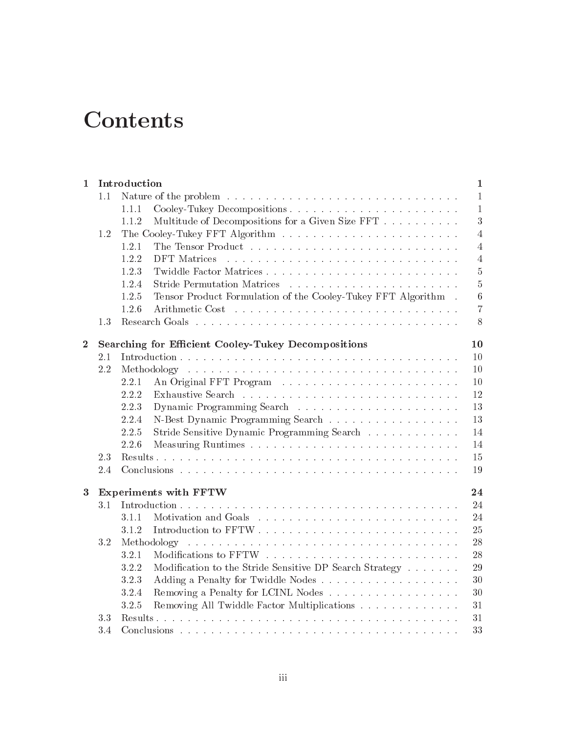# **Contents**

| 1        |     | Introduction                                                                            | $\mathbf 1$    |  |  |  |  |  |  |
|----------|-----|-----------------------------------------------------------------------------------------|----------------|--|--|--|--|--|--|
|          | 1.1 |                                                                                         | 1              |  |  |  |  |  |  |
|          |     | 1.1.1                                                                                   | 1              |  |  |  |  |  |  |
|          |     | Multitude of Decompositions for a Given Size FFT<br>1.1.2                               | 3              |  |  |  |  |  |  |
|          | 1.2 |                                                                                         | 4              |  |  |  |  |  |  |
|          |     | 1.2.1                                                                                   | 4              |  |  |  |  |  |  |
|          |     | 1.2.2<br>DFT Matrices                                                                   | $\overline{4}$ |  |  |  |  |  |  |
|          |     | 1.2.3                                                                                   | $\bf 5$        |  |  |  |  |  |  |
|          |     | 1.2.4                                                                                   | $\overline{5}$ |  |  |  |  |  |  |
|          |     | Tensor Product Formulation of the Cooley-Tukey FFT Algorithm.<br>1.2.5                  | $\,$ 6 $\,$    |  |  |  |  |  |  |
|          |     | 1.2.6                                                                                   | 7              |  |  |  |  |  |  |
|          | 1.3 |                                                                                         | 8              |  |  |  |  |  |  |
| $\bf{2}$ |     | <b>Searching for Efficient Cooley-Tukey Decompositions</b>                              | 10             |  |  |  |  |  |  |
|          | 2.1 |                                                                                         | 10             |  |  |  |  |  |  |
|          | 2.2 |                                                                                         |                |  |  |  |  |  |  |
|          |     | 2.2.1                                                                                   | 10             |  |  |  |  |  |  |
|          |     | 2.2.2                                                                                   | 12             |  |  |  |  |  |  |
|          |     | 2.2.3                                                                                   | 13             |  |  |  |  |  |  |
|          |     | 2.2.4                                                                                   | 13             |  |  |  |  |  |  |
|          |     | Stride Sensitive Dynamic Programming Search<br>2.2.5                                    | 14             |  |  |  |  |  |  |
|          |     | 2.2.6                                                                                   | 14             |  |  |  |  |  |  |
|          | 2.3 |                                                                                         | 15             |  |  |  |  |  |  |
|          | 2.4 |                                                                                         | 19             |  |  |  |  |  |  |
| $\bf{3}$ |     | <b>Experiments with FFTW</b>                                                            | 24             |  |  |  |  |  |  |
|          | 3.1 |                                                                                         | 24             |  |  |  |  |  |  |
|          |     | 3.1.1                                                                                   | 24             |  |  |  |  |  |  |
|          |     | 3.1.2                                                                                   | 25             |  |  |  |  |  |  |
|          | 3.2 |                                                                                         | 28             |  |  |  |  |  |  |
|          |     | 3.2.1                                                                                   | 28             |  |  |  |  |  |  |
|          |     | Modification to the Stride Sensitive DP Search Strategy $\ldots \ldots \ldots$<br>3.2.2 | 29             |  |  |  |  |  |  |
|          |     | 3.2.3                                                                                   | 30             |  |  |  |  |  |  |
|          |     | 3.2.4<br>Removing a Penalty for LCINL Nodes                                             | 30             |  |  |  |  |  |  |
|          |     | Removing All Twiddle Factor Multiplications<br>3.2.5                                    | 31             |  |  |  |  |  |  |
|          | 3.3 |                                                                                         | 31             |  |  |  |  |  |  |
|          | 3.4 |                                                                                         | 33             |  |  |  |  |  |  |
|          |     |                                                                                         |                |  |  |  |  |  |  |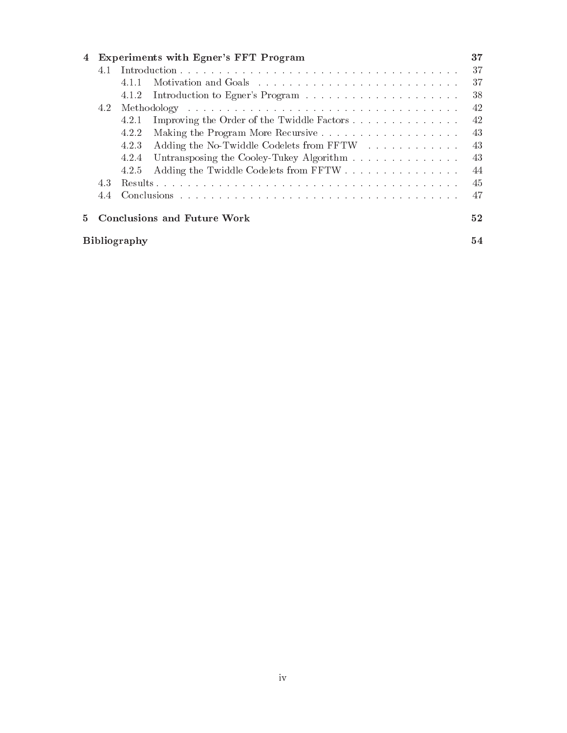| 4  |     |                     | Experiments with Egner's FFT Program       | 37 |
|----|-----|---------------------|--------------------------------------------|----|
|    | 4.1 |                     |                                            | 37 |
|    |     | 4.1.1               |                                            | 37 |
|    |     | 4.1.2               |                                            | 38 |
|    | 4.2 |                     |                                            | 42 |
|    |     | 4.2.1               | Improving the Order of the Twiddle Factors | 42 |
|    |     | 4.2.2               |                                            | 43 |
|    |     | 4.2.3               | Adding the No-Twiddle Codelets from FFTW   | 43 |
|    |     | 4.2.4               | Untransposing the Cooley-Tukey Algorithm   | 43 |
|    |     | 4.2.5               | Adding the Twiddle Codelets from FFTW      | 44 |
|    | 4.3 |                     |                                            | 45 |
|    | 4.4 |                     |                                            | 47 |
| 5. |     |                     | Conclusions and Future Work                | 52 |
|    |     | <b>Bibliography</b> |                                            | 54 |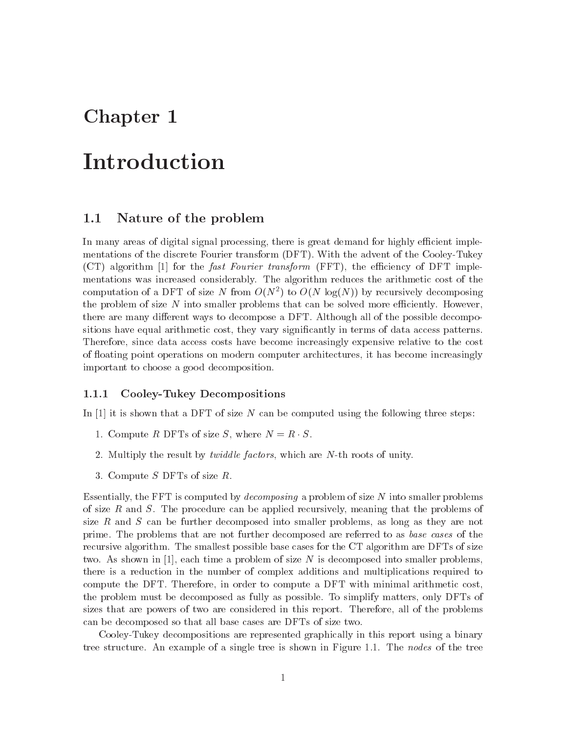## Chapter 1

## Introduction

#### $1.1$ Nature of the problem

In many areas of digital signal processing, there is great demand for highly efficient implementations of the discrete Fourier transform (DFT). With the advent of the Cooley-Tukey  $(CT)$  algorithm  $[1]$  for the *fast Fourier transform* (FFT), the efficiency of DFT implementations was increased considerably The algorithm reduces the arithmetic cost of the computation of a DFT of size *N* from  $O(N^{\circ})$  to  $O(N^{\circ})$  log(*N*)) by recursively decomposing the problem of size  $N$  into smaller problems that can be solved more efficiently. However, there are many di-erent ways to decompose a DFT Although all of the possible decompo sitions have equal arithmetic cost, they vary significantly in terms of data access patterns. Therefore, since data access costs have become increasingly expensive relative to the cost of floating point operations on modern computer architectures, it has become increasingly important to choose a good decomposition

## Cooley-Tukey Decompositions

In [1] it is shown that a DFT of size N can be computed using the following three steps:

- 1. Compute R DFTs of size S, where  $N = R \cdot S$ .
- Multiply the result by twidd le factors which are Nth roots of unity
- 3. Compute  $S$  DFTs of size  $R$ .

Essentially, the FFT is computed by *decomposing* a problem of size N into smaller problems of size R and S. The procedure can be applied recursively, meaning that the problems of size  $R$  and  $S$  can be further decomposed into smaller problems, as long as they are not prime. The problems that are not further decomposed are referred to as base cases of the recursive algorithm. The smallest possible base cases for the CT algorithm are DFTs of size two. As shown in [1], each time a problem of size  $N$  is decomposed into smaller problems. there is a reduction in the number of complex additions and multiplications required to compute the DFT. Therefore, in order to compute a DFT with minimal arithmetic cost, the problem must be decomposed as fully as possible. To simplify matters, only DFTs of sizes that are powers of two are considered in this report. Therefore, all of the problems can be decomposed so that all base cases are DFTs of size two

CooleyTukey decompositions are represented graphically in this report using a binary tree structure. An example of a single tree is shown in Figure 1.1. The nodes of the tree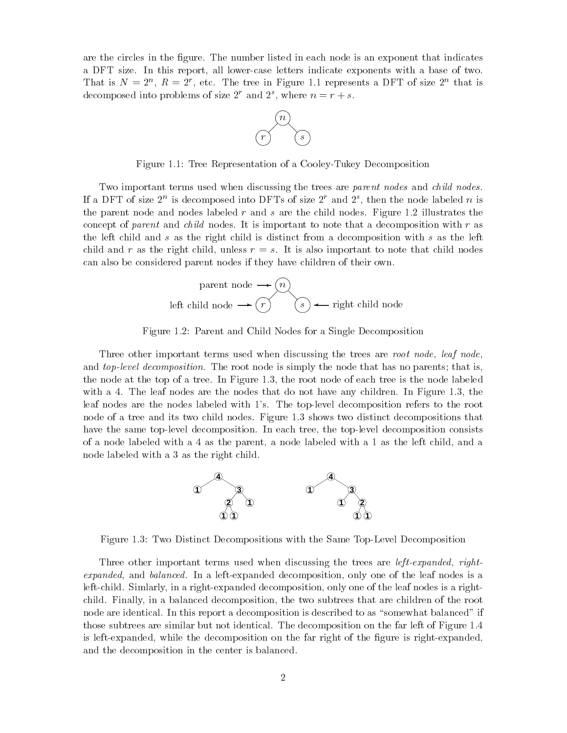are the circles in the figure. The number listed in each node is an exponent that indicates a DFT size. In this report, all lower-case letters indicate exponents with a base of two. That is  $N = 2^{\circ}$ ,  $K = 2^{\circ}$ , etc. The tree in Figure 1.1 represents a DFT of size 2<sup>o</sup> that is decomposed into problems of size z and z, where  $n = r + s$ .



Figure 1.1: Tree Representation of a Cooley-Tukey Decomposition

Two important terms used when discussing the trees are parent nodes and child nodes. If a DFT of size  $\Delta$  is decomposed into DFTs of size  $\Delta$  and  $\Delta$ , then the node labeled  $n$  is the parent nodes and nodes in all states the child nodes the children's figure in a representative the children concept of parent and child nodes. It is important to note that a decomposition with r as the left child and s as the right child is distinct from a decomposition with s as the left child and r as the right child, unless  $r = s$ . It is also important to note that child nodes can also be considered parent nodes if they have children of their own



Figure Parent and Child Nodes for a Single Decomposition

Three other important terms used when discussing the trees are root node, leaf node, and top-level decomposition The root node is simply the node that has no parents that is the node at the top of a tree. In Figure 1.3, the root node of each tree is the node labeled with a 4. The leaf nodes are the nodes that do not have any children. In Figure 1.3, the leaf nodes are the nodes labeled with 1's. The top-level decomposition refers to the root node of a tree and its two child nodes. Figure 1.3 shows two distinct decompositions that have the same top-level decomposition. In each tree, the top-level decomposition consists of a node labeled with a 4 as the parent, a node labeled with a 1 as the left child, and a node labeled with a 3 as the right child.



Figure 1.3: Two Distinct Decompositions with the Same Top-Level Decomposition

Three other important terms used when discussing the trees are left-expanded rightexpanded, and balanced. In a left-expanded decomposition, only one of the leaf nodes is a left-child. Simlarly, in a right-expanded decomposition, only one of the leaf nodes is a rightchild Finally in a balanced decomposition the two subtrees that are children of the root node are identical. In this report a decomposition is described to as "somewhat balanced" if those subtrees are similar but not identical. The decomposition on the far left of Figure 1.4 is left-expanded, while the decomposition on the far right of the figure is right-expanded, and the decomposition in the center is balanced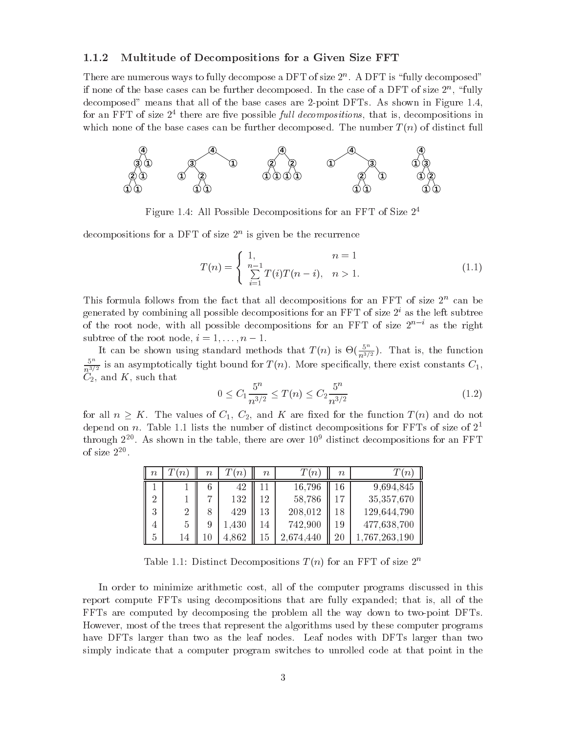### Multitude of Decompositions for a Given Size FFT

There are numerous ways to fully decompose a DFT of size <sup>n</sup> A DFT is fully decomposed If none of the base cases can be further decomposed. In the case of a DFT of size  $2^{\circ}$ , Tuny decomposed means that all of the base cases are the base cases are point DFTs As shown in Figuree are the base for an FFT of size  $\mathcal{Z}^+$  there are five possible *full decompositions*, that is, decompositions in which none of the base cases can be further decomposed. The number  $T(n)$  of distinct full



Figure All Possible Decompositions for an FFT of Size

decompositions for a DFT of size  $\mathcal{Z}^+$  is given be the recurrence

$$
T(n) = \begin{cases} 1, & n = 1 \\ \sum_{i=1}^{n-1} T(i)T(n-i), & n > 1. \end{cases}
$$
 (1.1)

 $\pm$  ms formula follows from the fact that all decompositions for an FFT of size  $Z^+$  can be generated by combining all possible decompositions for an FFT of size 2° as the left subtree of the root node, with all possible decompositions for an FFT of size  $2^+$  as the right subtree of the root node i 
--

It can be shown using standard methods that  $T(n)$  is  $\Theta(\frac{5^n}{n^{3/2}})$ . That is, the function 01 - 12 - 22  $n^{3/2}$  is an asymptotically there exist constants  $n^{3/2}$  is constants constants  $n^{3/2}$  is constants constants  $n^{3/2}$  $C_2$ , and K, such that

$$
0 \le C_1 \frac{5^n}{n^{3/2}} \le T(n) \le C_2 \frac{5^n}{n^{3/2}} \tag{1.2}
$$

for all  $n \geq K$ . The values of  $C_1$ ,  $C_2$ , and K are fixed for the function  $T(n)$  and do not depend on  $n$ . Table 1.1 lists the number of distinct decompositions for <code>FFTs</code> of size of  $\mathcal{Z}^+$  $t$ hrough  $2^{-\tau}$ . As shown in the table, there are over TO alstinct decompositions for an FFT of size  $2^{-\circ}$ 

| $\, n$         | $\lfloor n \rfloor$ | $\it{n}$       | $n_{\parallel}$ | $\it{n}$ | $\,n$     | $\, n$ | $^{\prime}n$ |
|----------------|---------------------|----------------|-----------------|----------|-----------|--------|--------------|
|                |                     | 6              | 42              |          | 16,796    | 16     | 9,694,845    |
| ച              |                     | $\overline{ }$ | 132             | 12       | 58,786    | 17     | 35,357,670   |
| $\Omega$<br>τJ | 2                   | 8              | 429             | 13       | 208,012   | 18     | 129,644,790  |
|                | 5                   | 9              | 1,430           | 14       | 742,900   | 19     | 477,638,700  |
| ð              | 14                  | 10             | 4,862           | 15       | 2,674,440 | $20\,$ | 767,263,190  |

Table 1.1: Distinct Decompositions  $T(n)$  for an FFT of size  $2^n$ 

In order to minimize arithmetic cost, all of the computer programs discussed in this report compute FFTs using decompositions that are fully expanded; that is, all of the FFTs are computed by decomposing the problem all the way down to two-point DFTs. However, most of the trees that represent the algorithms used by these computer programs have DFTs larger than two as the leaf nodes. Leaf nodes with DFTs larger than two simply indicate that <sup>a</sup> computer program switches to unrolled code at that point in the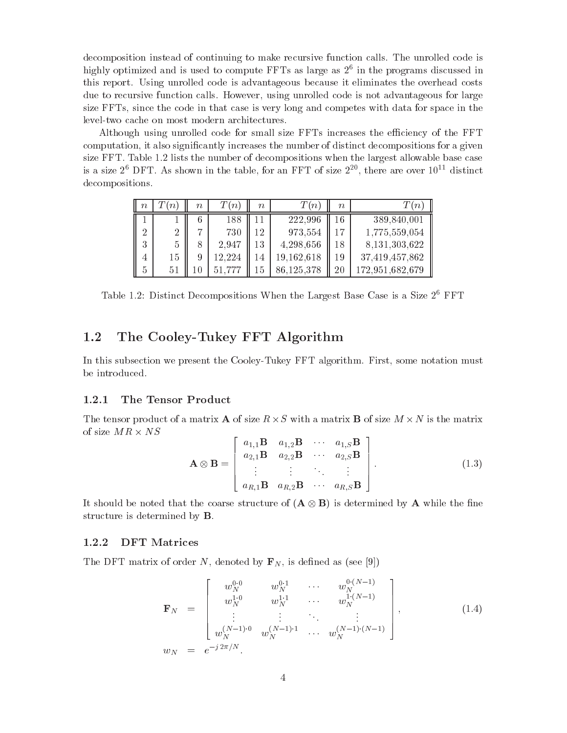decomposition instead of continuing to make recursive function calls. The unrolled code is mignly optimized and is used to compute  ${\tt r}$ r is as large as  $z^*$  in the programs discussed in this report. Using unrolled code is advantageous because it eliminates the overhead costs due to recursive function calls. However, using unrolled code is not advantageous for large size FFTs since the code in that case is very long and competes with data for space in the level-two cache on most modern architectures.

Although using unrolled code for small size FFTs increases the efficiency of the FFT computation, it also significantly increases the number of distinct decompositions for a given size  $\mathbb{R}^n$ is a size  $2^\circ$  DFT. As shown in the table, for an FFT of size  $2^\circ$ , there are over  $10^{++}$  distinct decompositions

| $\, n$ | $\,n$ | $\, n$ | $\,n$  | $\, n$ | $\lfloor n \rfloor$ | $\, n$ |                 |
|--------|-------|--------|--------|--------|---------------------|--------|-----------------|
|        |       |        | 188    |        | 222,996             | 16     | 389,840,001     |
| റ<br>∠ | ച     |        | 730    | 12     | 973,554             |        | 1,775,559,054   |
| 3      | 5     | Ο      | 2,947  | 13     | 4,298,656           | 18     | 8,131,303,622   |
| 4      | 15    |        | 12,224 |        | 19,162,618          | 19     | 37,419,457,862  |
| 5      | ЬI    |        |        |        | 86,125,378          |        | 172,951,682,679 |

Table 1.2: Distinct Decompositions when the Largest Base Case is a Size 2 FFT

## 1.2 The Cooley-Tukey FFT Algorithm

In this subsection we present the Cooley-Tukey FFT algorithm. First, some notation must be introduced

## The Tensor Product

The tensor product of a matrix **A** of size  $R \times S$  with a matrix **B** of size  $M \times N$  is the matrix of size  $MR \times NS$ 

and the contract of the contract of the contract of the contract of the contract of the contract of the contract of the contract of the contract of the contract of the contract of the contract of the contract of the contra

$$
\mathbf{A} \otimes \mathbf{B} = \begin{bmatrix} a_{1,1} \mathbf{B} & a_{1,2} \mathbf{B} & \cdots & a_{1,S} \ a_{2,1} \mathbf{B} & a_{2,2} \mathbf{B} & \cdots & a_{2,S} \ \vdots & \vdots & \ddots & \vdots \\ a_{R,1} \mathbf{B} & a_{R,2} \mathbf{B} & \cdots & a_{R,S} \mathbf{B} \end{bmatrix} .
$$
 (1.3)

It should be noted that the coarse structure of  $(A \otimes B)$  is determined by A while the fine structure is determined by **B**.

#### DFT Matrices

The DFT matrix of order N, denoted by  $\mathbf{F}_N$ , is defined as (see [9])

$$
\mathbf{F}_{N} = \begin{bmatrix} w_{N}^{0\cdot 0} & w_{N}^{0\cdot 1} & \cdots & w_{N}^{0\cdot (N-1)} \\ w_{N}^{1\cdot 0} & w_{N}^{1\cdot 1} & \cdots & w_{N}^{1\cdot (N-1)} \\ \vdots & \vdots & \ddots & \vdots \\ w_{N}^{(N-1)\cdot 0} & w_{N}^{(N-1)\cdot 1} & \cdots & w_{N}^{(N-1)\cdot (N-1)} \end{bmatrix}, \qquad (1.4)
$$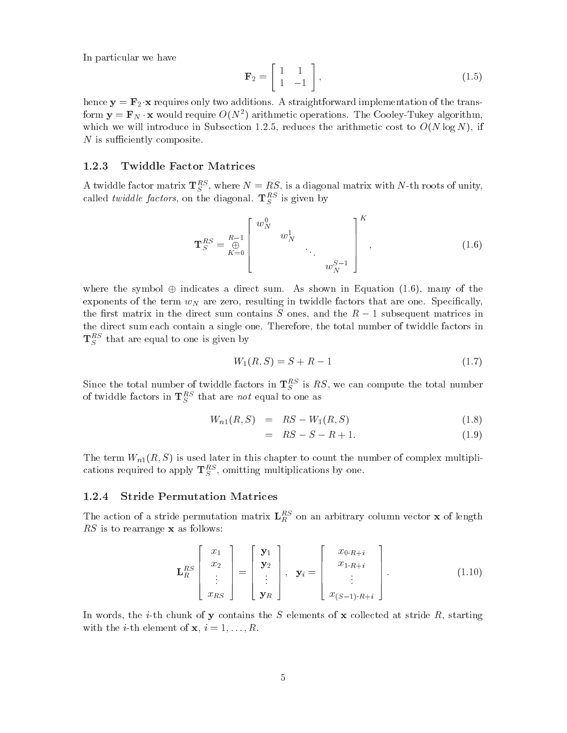In particular we have

$$
\mathbf{F}_2 = \left[ \begin{array}{cc} 1 & 1 \\ 1 & -1 \end{array} \right],\tag{1.5}
$$

hence  $\gamma$  ,  $\gamma$  requires on the transition and the transitions  $\gamma$  straightforward implementation of the transition of the transition of the transition of the transition of the transition of the transition of the trans form  ${\bf y}={\bf r}_N\cdot{\bf x}$  would require  $O(N^2)$  arithmetic operations. The Cooley-Tukey algorithm, which we will introduce in Subsection and the arithmetic cost the arithmetic cost to ON log No. 11 if  $\alpha$  $N$  is sufficiently composite.

#### Twiddle Factor Matrices

A twiddle factor matrix  $\mathbf{1}_{S}^{\infty}$ , where  $N = R S$ , is a diagonal matrix with N-th roots of unity, called *twiddle factors*, on the diagonal.  $\mathbf{I}_{S}^{\top}$  is given by

$$
\mathbf{T}_{S}^{RS} = \mathop{\mathbb{E}}_{K=0}^{R-1} \begin{bmatrix} w_N^0 & & & \\ & w_N^1 & & \\ & & \ddots & \\ & & & w_N^{S-1} \end{bmatrix}^{K}, \qquad (1.6)
$$

where the symbol  $\oplus$  indicates a direct sum. As shown in Equation (1.6), many of the exponents of the term  $w_N$  are zero, resulting in twiddle factors that are one. Specifically, the rst matrix in the direct sum contains S ones and the R - subsequent matrices in the direct sum each contain a single one. Therefore, the total number of twiddle factors in  $\mathbf{I}_{S}^{\infty}$  that are equal to one is given by

$$
W_1(R, S) = S + R - 1 \tag{1.7}
$$

Since the total number of twiddle factors in  $\mathbf{1}_S$  is RS, we can compute the total number of twiddle factors in  $\mathbf{1}_{S}^{\infty}$  that are not equal to one as

$$
W_{n1}(R, S) = RS - W_1(R, S) \tag{1.8}
$$

$$
= RS - S - R + 1. \tag{1.9}
$$

The term Warper Warper is used to count the number of complex multiplier the number of complex multipliers of  $\mu$ cations required to apply  $\mathbf{1}_S$ , omitting multiplications by one.

#### Stride Permutation Matrices

The action of a stride permutation matrix  $L_R$  on an arbitrary column vector **x** of length  $RS$  is to rearrange  $\bf{x}$  as follows:

$$
\mathbf{L}_{R}^{RS} \begin{bmatrix} x_{1} \\ x_{2} \\ \vdots \\ x_{RS} \end{bmatrix} = \begin{bmatrix} \mathbf{y}_{1} \\ \mathbf{y}_{2} \\ \vdots \\ \mathbf{y}_{R} \end{bmatrix}, \quad \mathbf{y}_{i} = \begin{bmatrix} x_{0 \cdot R + i} \\ x_{1 \cdot R + i} \\ \vdots \\ x_{(S-1) \cdot R + i} \end{bmatrix} .
$$
 (1.10)

In words, the *i*-th chunk of y contains the S elements of x collected at stride R, starting with the interesting of  $\mathbf{r}$  is interesting of  $\mathbf{r}$  in the interesting of  $\mathbf{r}$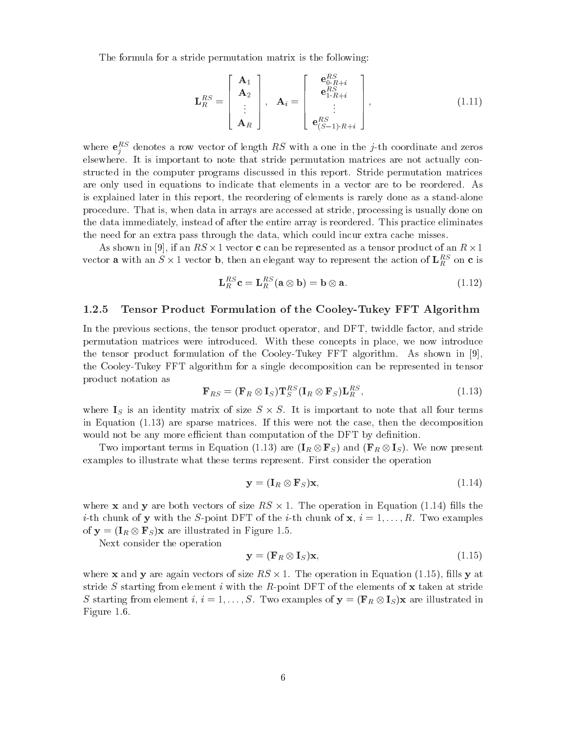The formula for a stride permutation matrix is the following

$$
\mathbf{L}_{R}^{RS} = \begin{bmatrix} \mathbf{A}_{1} \\ \mathbf{A}_{2} \\ \vdots \\ \mathbf{A}_{R} \end{bmatrix}, \quad \mathbf{A}_{i} = \begin{bmatrix} \mathbf{e}_{0,R+i}^{RS} \\ \mathbf{e}_{1.R+i}^{RS} \\ \vdots \\ \mathbf{e}_{(S-1)\cdot R+i}^{RS} \end{bmatrix}, \tag{1.11}
$$

where  $e_i^{\pm}$  denotes a row vector of length  $RS$  with a one in the j-th coordinate and zeros elsewhere It is important to note that stride permutation matrices are not actually con structed in the computer programs discussed in this report. Stride permutation matrices are only used in equations to indicate that elements in a vector are to be reordered. As is explained later in this report, the reordering of elements is rarely done as a stand-alone procedure. That is, when data in arrays are accessed at stride, processing is usually done on the data immediately, instead of after the entire array is reordered. This practice eliminates the need for an extra pass through the data, which could incur extra cache misses.

As shown in [9], if an  $RS \times 1$  vector c can be represented as a tensor product of an  $R \times 1$ vector **a** with an  $S \times I$  vector **b**, then an elegant way to represent the action of  $L_R^{\infty}$  on **c** is

$$
\mathbf{L}_R^{RS}\mathbf{c} = \mathbf{L}_R^{RS}(\mathbf{a} \otimes \mathbf{b}) = \mathbf{b} \otimes \mathbf{a}.\tag{1.12}
$$

#### Tensor Product Formulation of the Cooley-Tukey FFT Algorithm

In the previous sections, the tensor product operator, and DFT, twiddle factor, and stride permutation matrices were introduced. With these concepts in place, we now introduce the tensor product formulation of the Cooley-Tukey FFT algorithm. As shown in [9], the CooleyTukey FFT algorithm for a single decomposition can be represented in tensor product notation as

$$
\mathbf{F}_{RS} = (\mathbf{F}_R \otimes \mathbf{I}_S) \mathbf{T}_S^{RS} (\mathbf{I}_R \otimes \mathbf{F}_S) \mathbf{L}_R^{RS},
$$
\n(1.13)

where  $I_S$  is an identity matrix of size  $S \times S$ . It is important to note that all four terms in Equation  $(1.13)$  are sparse matrices. If this were not the case, then the decomposition would not be any more efficient than computation of the DFT by definition.

Two important terms in Equation (1.13) are  $(I_R \otimes \mathbf{F}_S)$  and  $(\mathbf{F}_R \otimes \mathbf{I}_S)$ . We now present examples to illustrate what these terms represent. First consider the operation

$$
\mathbf{y} = (\mathbf{I}_R \otimes \mathbf{F}_S)\mathbf{x},\tag{1.14}
$$

where **x** and **y** are both vectors of size  $RS \times 1$ . The operation in Equation (1.14) fills the ith chunk of y with the Spoint DFT of the ith chunk of x i 
--R Two examples of  $y = (I_R \otimes F_S)x$  are illustrated in Figure 1.5.

Next consider the operation

$$
\mathbf{y} = (\mathbf{F}_R \otimes \mathbf{I}_S)\mathbf{x},\tag{1.15}
$$

where **x** and **y** are again vectors of size  $RS \times 1$ . The operation in Equation (1.15), fills **y** at stride S starting from element i with the R-point DFT of the elements of  $x$  taken at stride S starting from element i i 
--S Two examples of <sup>y</sup> FR IS x are illustrated in Figure 1.6.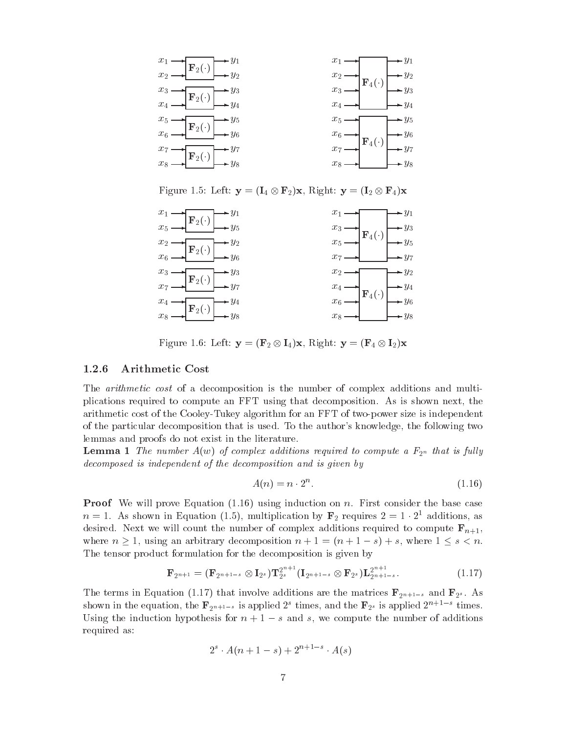

Figure Here  $\mu$  , the state of  $\mu$  in the state of  $\mu$ 

| $x_1 \longrightarrow \longrightarrow x_2(\cdot) \longrightarrow y_1$<br>$x_5 \longrightarrow y_5$              |                                                                                                                                                                                                                                                                                                                                                                                                                                                                                                 |
|----------------------------------------------------------------------------------------------------------------|-------------------------------------------------------------------------------------------------------------------------------------------------------------------------------------------------------------------------------------------------------------------------------------------------------------------------------------------------------------------------------------------------------------------------------------------------------------------------------------------------|
|                                                                                                                |                                                                                                                                                                                                                                                                                                                                                                                                                                                                                                 |
| $x_2 \longrightarrow \longrightarrow x_6 \longrightarrow y_2$<br>$x_6 \longrightarrow y_2 \longrightarrow y_6$ | $\begin{array}{ccc}\nx_1 & \rightarrow & y_1 \\ x_3 & \rightarrow & x_3 \\ x_5 & \rightarrow & y_3 \\ x_7 & \rightarrow & \rightarrow & y_7\n\end{array}$                                                                                                                                                                                                                                                                                                                                       |
|                                                                                                                |                                                                                                                                                                                                                                                                                                                                                                                                                                                                                                 |
| $\rightarrow y_3$<br>$\rightarrow y_7$<br>$\frac{x_3}{x_7}$ $\rightarrow$ $\boxed{\mathbf{F}_2(\cdot)}$        |                                                                                                                                                                                                                                                                                                                                                                                                                                                                                                 |
|                                                                                                                | $\begin{array}{c}\n\begin{array}{c}\n\hline\n\end{array}\n\end{array}\n\begin{array}{c}\n\hline\n\end{array}\n\end{array}\n\begin{array}{c}\n\hline\n\end{array}\n\begin{array}{c}\n\hline\n\end{array}\n\end{array}\n\begin{array}{c}\n\hline\n\end{array}\n\begin{array}{c}\n\hline\n\end{array}\n\end{array}\n\begin{array}{c}\n\hline\n\end{array}\n\begin{array}{c}\n\hline\n\end{array}\n\end{array}\n\begin{array}{c}\n\hline\n\end{array}\n\end{array}\n\begin{array}{c}\n\hline\n\end$ |
| $\frac{x_4}{x_8}$ $\rightarrow$ $\boxed{\mathbf{F}_2(\cdot)}$                                                  | $x_4 \longrightarrow$<br>$x_6 \longrightarrow$                                                                                                                                                                                                                                                                                                                                                                                                                                                  |
|                                                                                                                |                                                                                                                                                                                                                                                                                                                                                                                                                                                                                                 |

Figure 1999 – Left y and y Figure 11 and the United States of the Left y Fallet

### Arithmetic Cost

The *arithmetic cost* of a decomposition is the number of complex additions and multiplications required to compute an FFT using that decomposition. As is shown next, the arithmetic cost of the Cooley-Tukey algorithm for an FFT of two-power size is independent of the particular decomposition that is used. To the author's knowledge, the following two lemmas and proofs do not exist in the literature

**Lemma 1** The number  $A(w)$  of complex additions required to compute a  $F_{2^n}$  that is fully decomposed is independent of the decomposition and is given by

$$
A(n) = n \cdot 2^n. \tag{1.16}
$$

**Proof** We will prove Equation  $(1.16)$  using induction on n. First consider the base case  $n = 1$ . As snown in Equation (1.5), multiplication by  $\mathbf{r}_2$  requires  $z = 1 \cdot z^2$  additions, as desired. Next we will count the number of complex additions required to compute  $\mathbf{F}_{n+1}$ , where  $\alpha$  is a construction number of the contract of the state  $\alpha$  is a state of the state of the state of the state of the state of the state of the state of the state of the state of the state of the state of the sta The tensor product formulation for the decomposition is given by

$$
\mathbf{F}_{2^{n+1}} = (\mathbf{F}_{2^{n+1-s}} \otimes \mathbf{I}_{2^s}) \mathbf{T}_{2^s}^{2^{n+1}} (\mathbf{I}_{2^{n+1-s}} \otimes \mathbf{F}_{2^s}) \mathbf{L}_{2^{n+1-s}}^{2^{n+1}}.
$$
 (1.17)

The terms in Equation (1.17) that involve additions are the matrices  $\mathbf{F}_{2^{n+1-s}}$  and  $\mathbf{F}_{2^s}$ . As shown in the equation, the  $\mathbf{r}_{2^{n+1-s}}$  is applied  $z^-$  times, and the  $\mathbf{r}_{2^s}$  is applied  $z^{n+s-r}$  times. Using the induction hypothesis for n  $\vert$  =  $\vert$  , and  $\vert$  additions  $\vert$  and  $\vert$  and  $\vert$  and  $\vert$  additions  $\vert$ required as

$$
2^{s} \cdot A(n+1-s) + 2^{n+1-s} \cdot A(s)
$$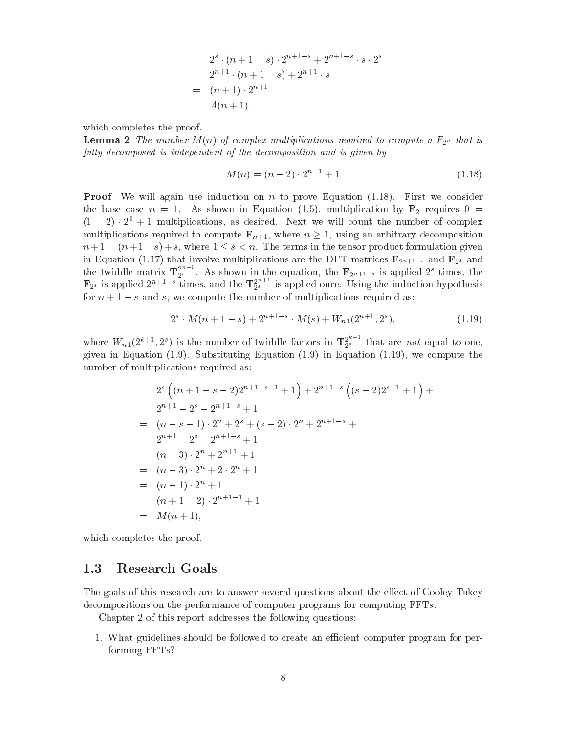$$
= 2s \cdot (n + 1 - s) \cdot 2n+1-s + 2n+1-s \cdot s \cdot 2s
$$
  
= 2<sup>n+1</sup> \cdot (n + 1 - s) + 2<sup>n+1</sup> \cdot s  
= (n + 1) \cdot 2<sup>n+1</sup>  
= A(n + 1),

which completes the proof.

 $\blacksquare$  change  $\blacksquare$  is the number  $M$  of  $\sigma$  of  $\sigma$   $\sigma$  and  $\sigma$  is a functional to compute a  $\blacksquare$   $\preceq$   $\lhd$   $\lhd$   $\lhd$ fully decomposed is independent of the decomposition and is given by

$$
M(n) = (n-2) \cdot 2^{n-1} + 1 \tag{1.18}
$$

**Proof** We will again use induction on n to prove Equation  $(1.18)$ . First we consider  $\mathbf{b} = \mathbf{b}$  is a shown in Equation by F requires  $\mathbf{b} = \mathbf{b}$  requires by F requires  $\mathbf{b} = \mathbf{b}$  $(1 - 2) \cdot 2^+ + 1$  multiplications, as desired. Next we will count the number of complex multiplications required to compute  $\mathbf{F}_{n+1}$ , where  $n \geq 1$ , using an arbitrary decomposition n and the terms in the terms in the terms in the terms in the terms in the terms in the terms in the terms in the twiddle matrix  $\mathbf{T}_{2^s}^{2^{n+1}}$ . As shown in the equation, the  $\mathbf{F}_{2^{n+1-s}}$  is applied  $2^s$  times, the  $\mathbf{F}_{2^s}$  is applied  $2^{n+1-s}$  times, and the  $\mathbf{T}_{2^s}^{2^{n+s}}$  is applied once. Using the induction hypothesis for n - s and s we compute the number of multiplications required as

$$
2s \cdot M(n+1-s) + 2n+1-s \cdot M(s) + Wn1(2n+1, 2s), \qquad (1.19)
$$

where  $W_{n1}(2^{k+1}, 2^s)$  is the number of twiddle factors in  $\mathbf{T}_{2^s}^{s,s}$  that are not equal to one, given in Equation  $(1.9)$ . Substituting Equation  $(1.9)$  in Equation  $(1.19)$ , we compute the number of multiplications required as

$$
2^{s} \left( (n+1-s-2)2^{n+1-s-1} + 1 \right) + 2^{n+1-s} \left( (s-2)2^{s-1} + 1 \right) +
$$
  
\n
$$
2^{n+1} - 2^{s} - 2^{n+1-s} + 1
$$
  
\n
$$
= (n-s-1) \cdot 2^{n} + 2^{s} + (s-2) \cdot 2^{n} + 2^{n+1-s} +
$$
  
\n
$$
2^{n+1} - 2^{s} - 2^{n+1-s} + 1
$$
  
\n
$$
= (n-3) \cdot 2^{n} + 2^{n+1} + 1
$$
  
\n
$$
= (n-1) \cdot 2^{n} + 1
$$
  
\n
$$
= (n+1-2) \cdot 2^{n+1-1} + 1
$$
  
\n
$$
= M(n+1),
$$

which completes the proof.

#### $1.3$ Research Goals

The goals of this research are to answer several questions about the e-dedecompositions on the performance of computer programs for computing FFTs

Chapter of this report addresses the following questions

1. What guidelines should be followed to create an efficient computer program for performing FFTs!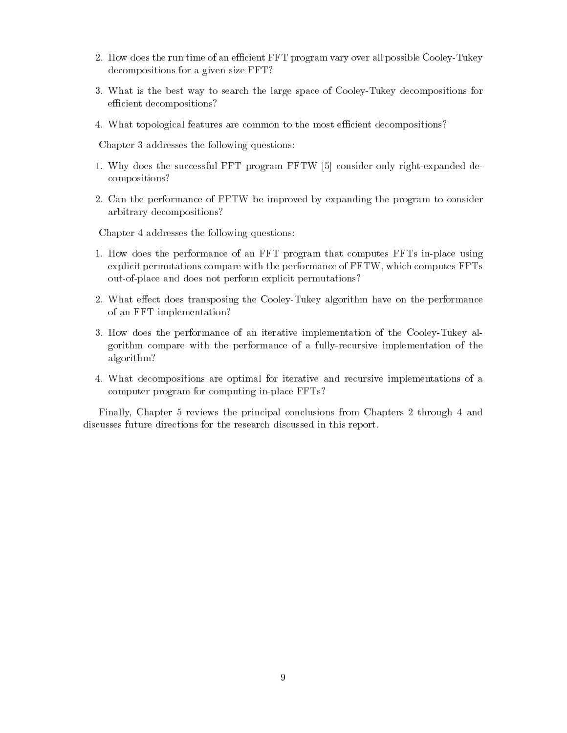- How does the run time of an ecient FFT program vary over all possible CooleyTukey decompositions for a given size FFT!
- What is the best way to search the large space of CooleyTukey decompositions for efficient decompositions?
- 4. What topological features are common to the most efficient decompositions?

Chapter 3 addresses the following questions:

- 1. Why does the successful FFT program FFTW [5] consider only right-expanded decompositions!
- Can the performance of FFTW be improved by expanding the program to consider arbitrary decompositions!

Chapter 4 addresses the following questions:

- 1. How does the performance of an FFT program that computes FFTs in-place using explicit permutations compare with the performance of  $FFTW$ , which computes  $FFTs$ out-of-place and does not perform explicit permutations?
- where e-ect does transposing the CooleyTukey algorithm have on the performance on the performance on the performance of an FFT implementation!
- 3. How does the performance of an iterative implementation of the Cooley-Tukey algorithm compare with the performance of a fullyrecursive implementation of the algorithm?
- What decompositions are optimal for iterative and recursive implementations of a computer program for computing in-place FFTs?

Finally Chapter reviews the principal conclusions from Chapters through and discusses future directions for the research discussed in this report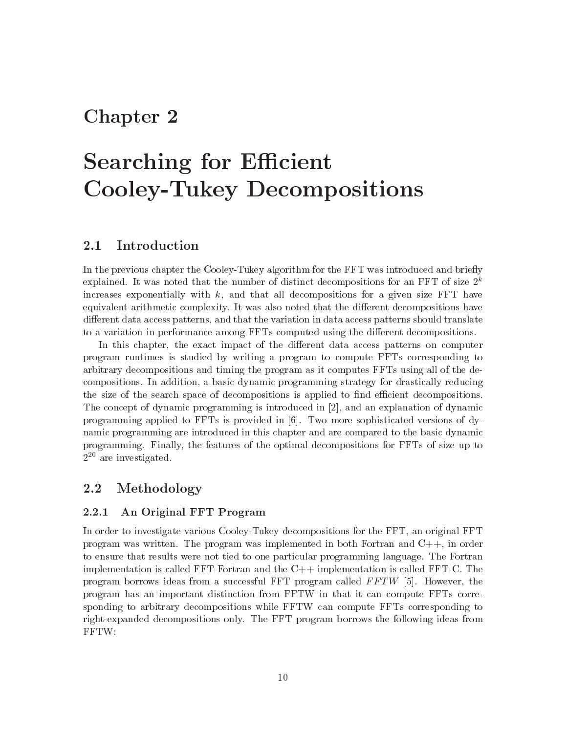## Chapter 2

# Searching for E-cient Cooley-Tukey Decompositions

#### $2.1$ Introduction

In the previous chapter the Cooley-Tukey algorithm for the FFT was introduced and briefly explained. It was noted that the number of distinct decompositions for an FFT of size  $\it z$ increases exponentially with  $k$ , and that all decompositions for a given size FFT have equivalent arithmetic complexity It was also noted that the di-erent decompositions have di-erent data access patterns and that the variation in data access patterns should translate to a variation in performance among FFTs computed using the di-erent decompositions

In this chapter the exact impact of the di-erent data access patterns on computer program runtimes is studied by writing a program to compute FFTs corresponding to arbitrary decompositions and timing the program as it computes FFTs using all of the de compositions In addition a basic dynamic programming strategy for drastically reducing the size of the search space of decompositions is applied to find efficient decompositions. The concept of dynamic programming is introduced in and an explanation of dynamic programming applied to FFTs is provided in  $\lceil 6 \rceil$ . Two more sophisticated versions of dynamic programming are introduced in this chapter and are compared to the basic dynamic programming. Finally, the features of the optimal decompositions for FFTs of size up to - are investigated

#### $\bf 2.2$ Methodology

## An Original FFT Program

In order to investigate various Cooley-Tukey decompositions for the FFT, an original FFT program was written. The program was implemented in both Fortran and  $C_{++}$ , in order to ensure that results were not tied to one particular programming language The Fortran implementation is called FFT-Fortran and the  $C++$  implementation is called FFT-C. The program borrows ideas from a successful FFT program called  $FFTW$  [5]. However, the program has an important distinction from FFTW in that itcan compute FFTs corre sponding to arbitrary decompositions while FFTW can compute FFTs corresponding to right-expanded decompositions only. The FFT program borrows the following ideas from FFTW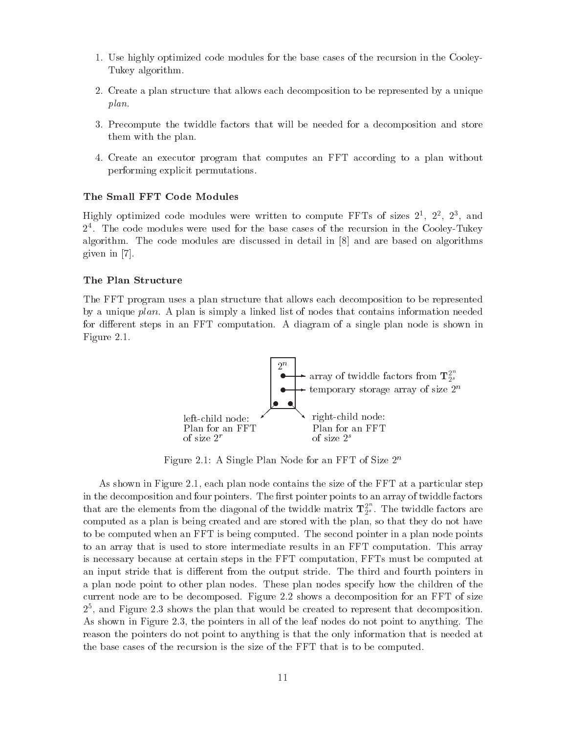- Use highly optimized code modules for the base cases of the recursion in the Cooley Tukey algorithm
- Create a plan structure that allows each decomposition to be represented by a unique plan
- 3. Precompute the twiddle factors that will be needed for a decomposition and store them with the plan
- Create an executor program that computes an FFT according to a plan without performing explicit permutations

## The Small FFT Code Modules

Highly optimized code modules were written to compute  $\texttt{rls}$  of sizes  $\texttt{2}^{\text{-}}, \texttt{2}^{\text{-}}, \texttt{2}^{\text{-}},$  and  $\mathcal{I}$  . The code modules were used for the base cases of the recursion in the Cooley-Tukey algorithm. The code modules are discussed in detail in  $[8]$  and are based on algorithms given in

### The Plan Structure

The FFT program uses a plan structure that allows each decomposition to be represented by a unique plan. A plan is simply a linked list of nodes that contains information needed for di-erent steps in an FFT computation A diagram of a single plan node is shown in  $\mathbf{F}$  for  $\mathbf{F}$  and  $\mathbf{F}$  and  $\mathbf{F}$  and  $\mathbf{F}$  are  $\mathbf{F}$  and  $\mathbf{F}$  and  $\mathbf{F}$  are  $\mathbf{F}$  and  $\mathbf{F}$  and  $\mathbf{F}$  are  $\mathbf{F}$  and  $\mathbf{F}$  and  $\mathbf{F}$  are  $\mathbf{F}$  and  $\mathbf{F}$  and  $\mathbf{F}$  are



Figure 2.1: A single Flan Node for an FFT of size 2<sup>21</sup>

As shown in Figure each plan node contains the size of the FFT at a particular step in the decomposition and four pointers. The first pointer points to an array of twiddle factors that are the elements from the diagonal of the twiddle matrix  $\mathbf{T}_{2^s}^s$ . The twiddle factors are computed as a plan is being created and are stored with the plan, so that they do not have to be computed when an FFT is being computed. The second pointer in a plan node points to an array that is used to store intermediate results in an FFT computation This array is necessary because at certain steps in the FFT computation FFTs must be computed at an input stride that is di-erent from the output stride The third and fourth pointers in a plan node point to other plan nodes These plan nodes specify how the children of the current as decomposed for a decomposed Figure . The shows at decomposition for an FFT of size  $\sim$  $\mathcal{Z}$  , and Figure  $\mathcal{Z}.\mathfrak{z}$  shows the plan that would be created to represent that decomposition. as shown in Figure . The point to point the point to the point the leaf nodes  $\mu$  all  $\mu$  and  $\mu$  and  $\mu$ reason the pointers do not point to anything is that the only information that is needed at the base cases of the recursion is the size of the FFT that is to be computed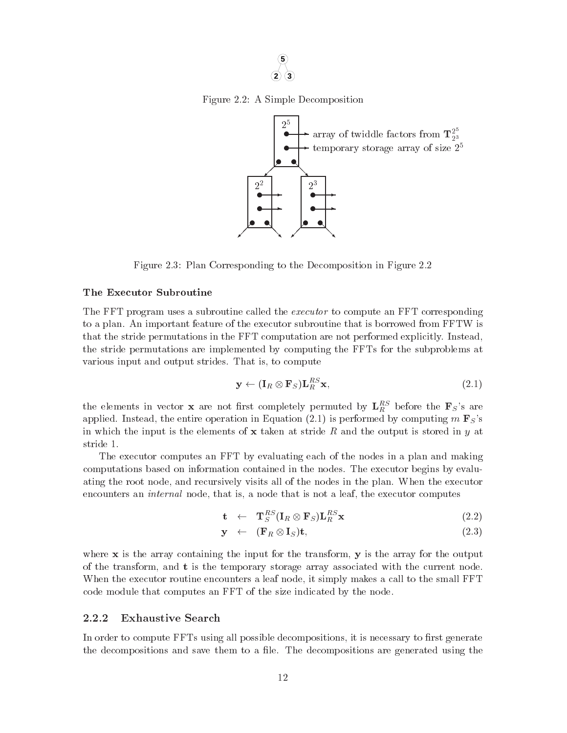

Figure A Simple Decomposition



Figure Plan Corresponding to the Decomposition in Figure

#### The Executor Subroutine

The FFT program uses a subroutine called the *executor* to compute an FFT corresponding to a plan. An important feature of the executor subroutine that is borrowed from FFTW is that the stride permutations in the FFT computation are not performed explicitly. Instead, the stride permutations are implemented by computing the FFTs for the subproblems at various input and output strides. That is, to compute

$$
\mathbf{y} \leftarrow (\mathbf{I}_R \otimes \mathbf{F}_S) \mathbf{L}_R^{RS} \mathbf{x},\tag{2.1}
$$

the elements in vector **x** are not first completely permuted by  $L_R^{\infty}$  before the **F**S s are applied Instead the entire operation in Equation is performed by computing m FSs in which the input is the elements of  $x$  taken at stride R and the output is stored in y at stride 1.

The executor computes an FFT by evaluating each of the nodes in a plan and making computations based on information contained in the nodes The executor begins by evalu ating the root node, and recursively visits all of the nodes in the plan. When the executor encounters an *internal* node, that is, a node that is not a leaf, the executor computes

$$
\mathbf{t} \quad \leftarrow \quad \mathbf{T}_{S}^{RS}(\mathbf{I}_{R} \otimes \mathbf{F}_{S})\mathbf{L}_{R}^{RS}\mathbf{x} \tag{2.2}
$$

$$
\mathbf{y} \quad \leftarrow \quad (\mathbf{F}_R \otimes \mathbf{I}_S)\mathbf{t},\tag{2.3}
$$

where  $x$  is the array containing the input for the transform,  $y$  is the array for the output of the transform, and  $t$  is the temporary storage array associated with the current node. When the executor routine encounters a leaf node, it simply makes a call to the small FFT code module that computes an FFT of the size indicated by the node

#### 2.2.2 Exhaustive Search

In order to compute FFTs using all possible decompositions, it is necessary to first generate the decompositions and save them to a file. The decompositions are generated using the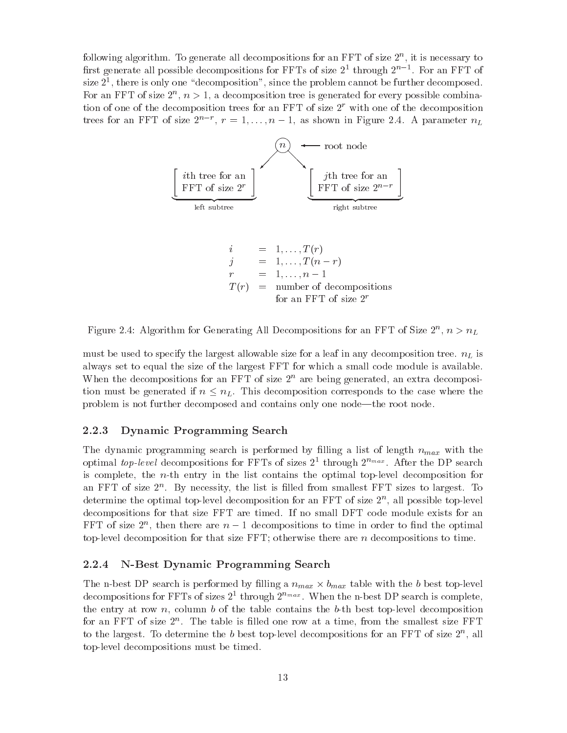following algorithm. To generate all decompositions for an FFT of size  $2^{\circ}$ , it is necessary to first generate all possible decompositions for FFTs of size  $2^+$  through  $2^+$   $\,$   $\,$  . For an FFT of size  $\mathfrak{z}$  , there is only one "decomposition", since the problem cannot be further decomposed. For an FFT of size  $\mathcal{L}^+, n \geq 1$ , a decomposition tree is generated for every possible combination of one of the decomposition trees for an FFT of size  $\angle$  with one of the decomposition trees for an FFT of size  $2^{n}$ ,  $r = 1, \ldots, n - 1$ , as shown in Figure 2.4. A parameter  $n_{L}$ 



rigure 2.4: Algorithm for Generating All Decompositions for an FFT of Size 2,  $n > n_L$ 

must be used to specify the largest allowable size for a leaf in any decomposition tree.  $n<sub>L</sub>$  is always set to equal the size of the largest FFT for which a small code module is available when the decompositions for an  $\texttt{r}_1$  of size  $\texttt{z}^\ldots$  are being generated, an extra decomposition must be generated if  $n \leq n_L$ . This decomposition corresponds to the case where the problem is not further decomposed and contains only one node—the root node.

## Dynamic Programming Search

The dynamic programming search is performed by filling a list of length  $n_{max}$  with the optimal top-level decompositions for FFTs of sizes  $2^+$  through  $2^{n_{max}}$ . After the DP search is complete, the *n*-th entry in the list contains the optimal top-level decomposition for an FFT of size 2n. By necessity, the list is filled from smallest FFT sizes to largest. To determine the optimal top-level decomposition for an FFT of size  $2^{\circ}$ , all possible top-level decompositions for that size FFT are timed. If no small DFT code module exists for an  ${\rm r\,r\,}$  then there are  $n-1$  decompositions to time in order to nnd the optimal top-level decomposition for that size  $FFT$ ; otherwise there are n decompositions to time.

## N-Best Dynamic Programming Search

The n-best DP search is performed by filling a  $n_{max} \times b_{max}$  table with the b best top-level decompositions for FFTs of sizes  $2^{\ast}$  through  $2^{nmax}$ . When the n-best DP search is complete, the entry at row n, column b of the table contains the b-th best top-level decomposition for an FFT of size  $2^{\circ}$ . The table is fifted one row at a time, from the smallest size FFT to the largest. To determine the  $\overline{v}$  pest top-level decompositions for an FFT of size  $\overline{z}$  , all top-level decompositions must be timed.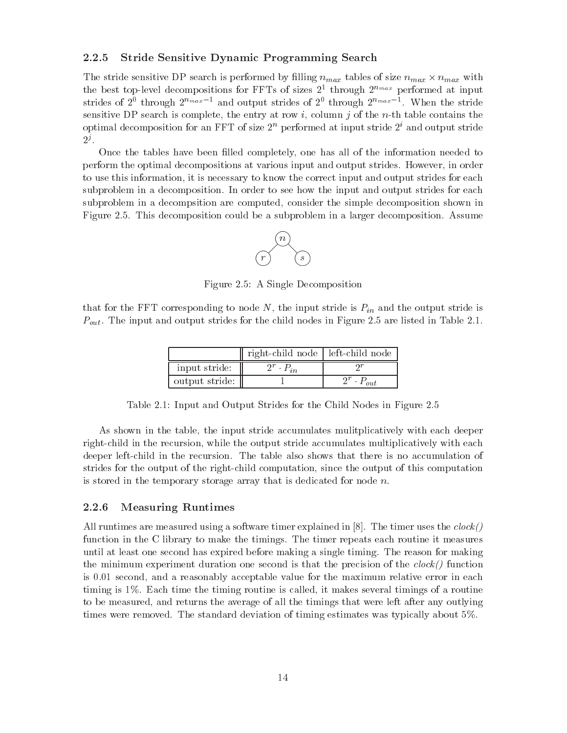## Stride Sensitive Dynamic Programming Search

The stride sensitive DP search is performed by filling  $n_{max}$  tables of size  $n_{max} \times n_{max}$  with the best top-level decompositions for FFTs of sizes  $2^*$  through  $2^{n_{max}}$  performed at input strides of  $Z^*$  through  $Z^{*max}$  – and output strides of  $Z^*$  through  $Z^{*max}$  –. When the stride sensitive DP search is complete, the entry at row i, column j of the n-th table contains the optimal decomposition for an FFT of size  $2^{\circ}$  performed at input stride  $2^{\circ}$  and output stride  $2^j$ .

Once the tables have been lled completely one has all of the information needed to perform the optimal decompositions at various input and output strides. However, in order to use this information, it is necessary to know the correct input and output strides for each subproblem in a decomposition. In order to see how the input and output strides for each subproblem in a decompsition are computed, consider the simple decomposition shown in Figure This decomposition could be a subproblem in a larger decomposition Assume



Figure A Single Decomposition

that for the FFT corresponding to node  $N$ , the input stride is  $P_{in}$  and the output stride is Pout The input and output strides for the child nodes in Figure are listed in Table

|                | right-child node   left-child node |  |
|----------------|------------------------------------|--|
| input stride:  |                                    |  |
| output stride: |                                    |  |

Table Input and Output Strides for the Child Nodes in Figure

As shown in the table, the input stride accumulates mulitplicatively with each deeper right-child in the recursion, while the output stride accumulates multiplicatively with each deeper left-child in the recursion. The table also shows that there is no accumulation of strides for the output of the right-child computation, since the output of this computation is stored in the temporary storage array that is dedicated for node  $n$ .

#### Measuring Runtimes

All runtimes are measured using a software timer explained in  $[8]$ . The timer uses the  $clock()$ function in the C library to make the timings. The timer repeats each routine it measures until at least one second has expired before making a single timing The reason for making the minimum experiment duration one second is that the precision of the  $clock()$  function is 0.01 second, and a reasonably acceptable value for the maximum relative error in each timing is 1%. Each time the timing routine is called, it makes several timings of a routine to be measured, and returns the average of all the timings that were left after any outlying times were removed. The standard deviation of timing estimates was typically about 5%.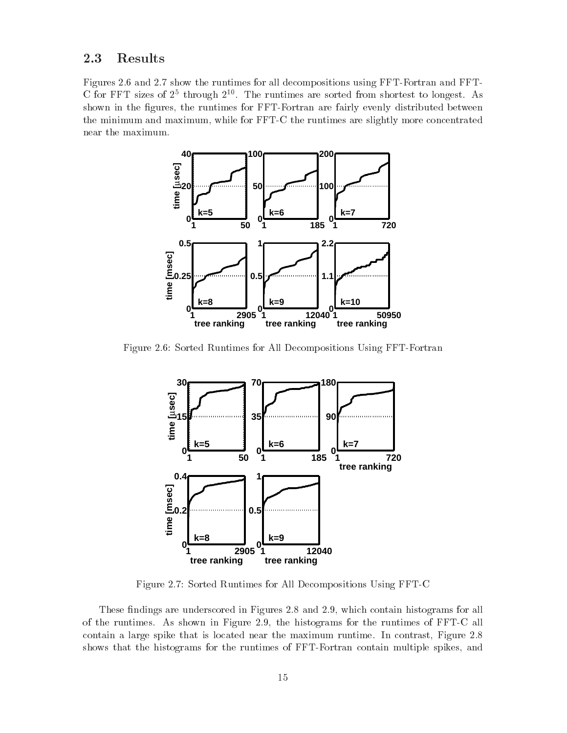#### $2.3\,$ Results

Figures and show the runtimes for all decompositions using FFTFortran and FFT U for FFT sizes of  $\varDelta^-$  through  $\varDelta^{++}$ . The runtimes are sorted from shortest to longest. As shown in the figures, the runtimes for FFT-Fortran are fairly evenly distributed between the minimum and maximum, while for FFT-C the runtimes are slightly more concentrated near the maximum



Figure Sorted Runtimes for All Decompositions Using FFTFortran



Figure Sorted Runtimes for All Decompositions Using FFTC

These ndings are underscored in Figures and which contain histograms for all of the runtimes  $\mathcal{L}$  the shown in Figure , the runtimes of  $\mathcal{L}$ contain a large spike that is located near the maximum runtime In contrast Figure shows that the histograms for the runtimes of FFT-Fortran contain multiple spikes, and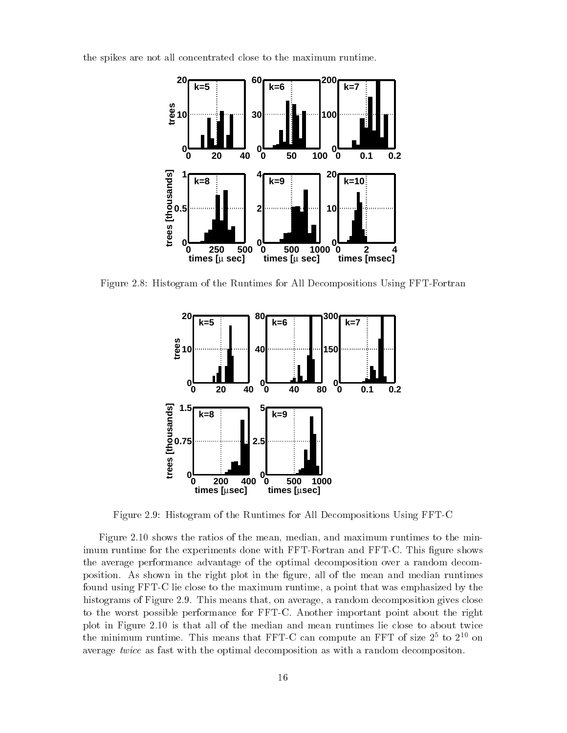the spikes are not all concentrated close to the maximum runtime



Figure  $\mathbf H$  and  $\mathbf H$  are  $\mathbf H$  and  $\mathbf H$  are All Decompositions Using Figure Figure Figure Figure Figure Figure Figure Figure Figure Figure Figure Figure Figure Figure Figure Figure Figure Figure Figure Figure Figur



Figure Histogram of the Runtimes for All Decompositions Using FFTC

Figure shows the ratios of the mean median and maximum runtimes to the min imum runtime for the experiments done with FFT-Fortran and FFT-C. This figure shows the average performance advantage of the optimal decomposition over a random decom position. As shown in the right plot in the figure, all of the mean and median runtimes found using FFT-C lie close to the maximum runtime, a point that was emphasized by the histograms of Figure This means that on average a random decomposition gives close to the worst possible performance for FFTC Another important point about the right place and all of the median and means and mean runtimes like the mean runtimes like the mean runtimes and all o the minimum runtime. This means that  $FFI-C$  can compute an  $FFI$  of size  $Z^+$  to  $Z^{++}$  on average twice as fast with the optimal decomposition as with a random decompositon.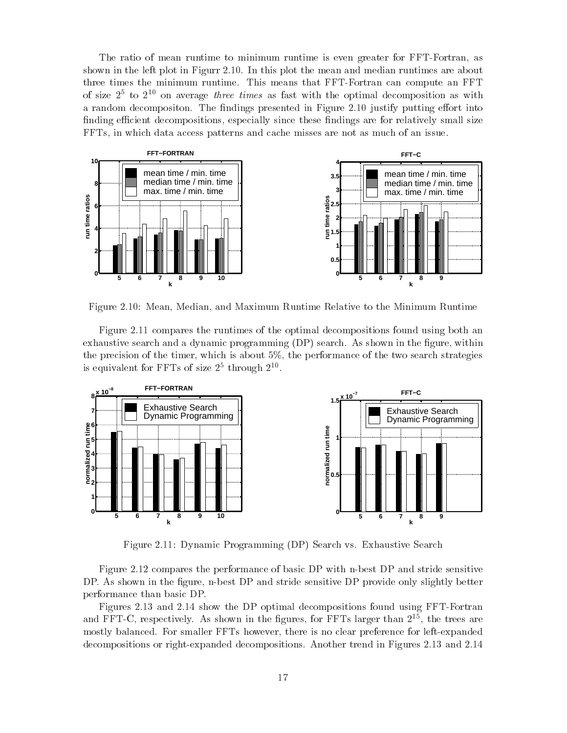The ratio of mean runtime to minimum runtime is even greater for FFT-Fortran, as shown in the left plot in Figurr In this plot the mean and median runtimes are about three times the minimum runtime. This means that FFT-Fortran can compute an FFT of size  $2^+$  to  $2^{++}$  on average *three times* as fast with the optimal decomposition as with a random decomposition The ndings presented in Figure 1.1 (2001) putting into the state of  $\sim$ finding efficient decompositions, especially since these findings are for relatively small size FFTs in which data access patterns and cache misses are not as much of an issue



Figure Mean Median and Maximum Runtime Relative to the Minimum Runtime

Figure compares the runtimes of the optimal decompositions found using both an exhaustive search and a dynamic programming  $(DP)$  search. As shown in the figure, within the precision of the timer, which is about  $5\%$ , the performance of the two search strategies is equivalent for  ${\tt Fr}$  is of size  ${\tt Z}^-$  through  ${\tt Z}^-$ .



 $\mathcal{L}$  , and  $\mathcal{L}$  are  $\mathcal{L}$  and  $\mathcal{L}$  . The search value  $\mathcal{L}$  is the search value of  $\mathcal{L}$  . The search value of  $\mathcal{L}$ 

Figure compares the performance of basic DP with nbest DP and stride sensitive DP. As shown in the figure, n-best DP and stride sensitive DP provide only slightly better performance than basic DP

Figures and show the DP optimal decompositions found using FFTFortran and  ${\tt r}$  r  ${\tt l}$  -  ${\tt U}$ , respectively. As shown in the ngures, for  ${\tt r}$  r is larger than  ${\tt l}$  -  ${\tt r}$ , the trees are mostly balanced. For smaller FFTs however, there is no clear preference for left-expanded decompositions or rightexpanded decompositions Another trend in Figures and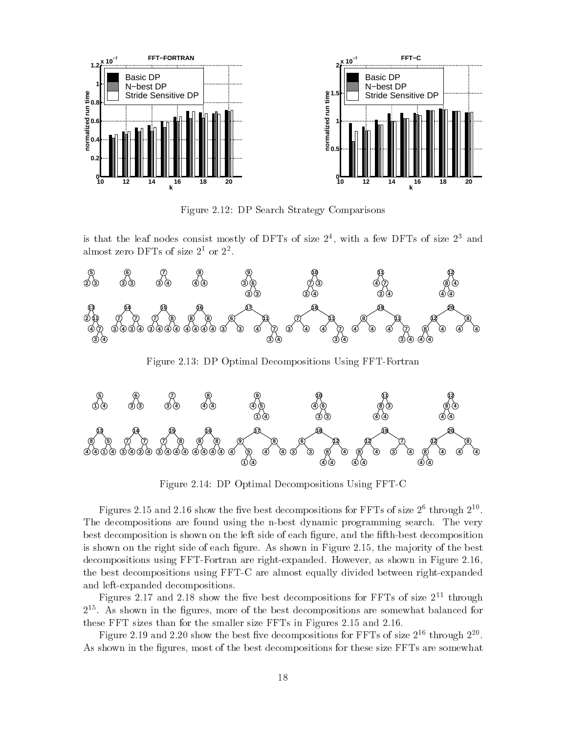

Figure DP Search Strategy Comparisons

is that the leaf nodes consist mostly of DFTs of size  $\mathcal{Z}^*$ , with a few DFTs of size  $\mathcal{Z}^*$  and almost zero Dr 1s of size 2- or 2-



 $\mathcal{L}$  , and  $\mathcal{L}$  are compositions using FFTF or  $\mathcal{L}$  and  $\mathcal{L}$  are compositions using  $\mathcal{L}$ 



Figure DP Optimal Decompositions Using FFTC

Figures 2.15 and 2.10 snow the five best decompositions for FFTs of size 2+ through 2++ The decompositions are found using the n-best dynamic programming search. The very best decomposition is shown on the left side of each figure, and the fifth-best decomposition is shown on the right side of the mass  $\mathbf{f}$  as shown in Figure As shown in Figure As shown in Figure . decompositions using FFTFortran are rightexpanded However as shown in Figure the best decompositions using FFT-C are almost equally divided between right-expanded and left-expanded decompositions.

Figures 2.17 and 2.18 show the five best decompositions for FFTs of size 2<sup>--</sup> through As shown in the gures more of the best decompositions are somewhat balanced for these FFT sizes than for the smaller size FFTs in Figures and

Figure 2.19 and 2.20 show the best five decompositions for FFTs of size 2<sup>--</sup> through 2<sup>--</sup> As shown in the figures, most of the best decompositions for these size FFTs are somewhat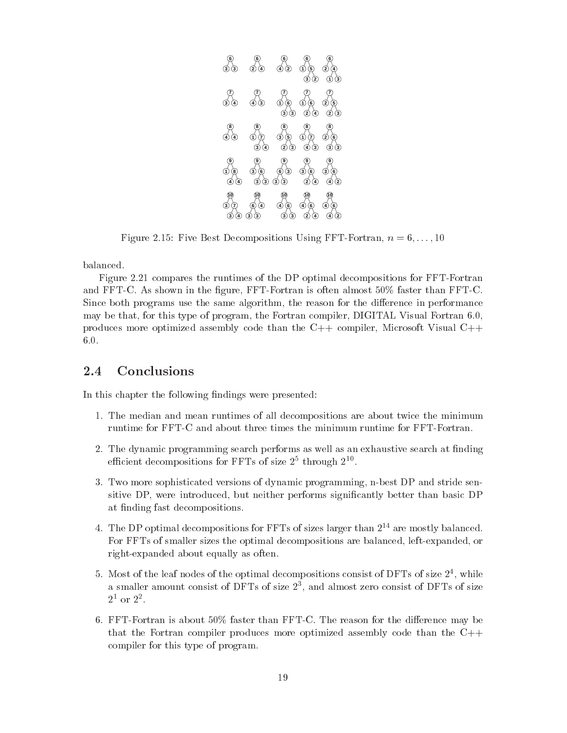

Figure Five Best Decompositions Using FFTFortran n --

balanced

Figure compares the runtimes of the DP optimal decompositions for FFTFortran and FFT-C. As shown in the figure, FFT-Fortran is often almost  $50\%$  faster than FFT-C. Since both programs use the same algorithm the reason for the di-erence in performance may be that, for this type of program, the Fortran compiler, DIGITAL Visual Fortran 6.0, produces more optimized assembly code than the  $C++$  compiler, Microsoft Visual  $C++$  $6.0.$ 

#### $2.4$ **Conclusions**

In this chapter the following findings were presented:

- The median and mean runtimes of all decompositions are about twice the minimum runtime for FFT-C and about three times the minimum runtime for FFT-Fortran.
- The dynamic programming search performs as well as  $\mu$ emcient decompositions for  ${\tt r}$   ${\tt r}$  is of size  ${\tt z}$  -through  ${\tt z}$  .
- 3. Two more sophisticated versions of dynamic programming, n-best DP and stride sensitive DP, were introduced, but neither performs significantly better than basic DP at finding fast decompositions.
- 4. The DP optimal decompositions for FFTs of sizes larger than 2<sup>--</sup> are mostly balanced. For FFTs of smaller sizes the optimal decompositions are balanced, left-expanded, or right-expanded about equally as often.
- $\rm{_{0}}$ . Most of the leaf nodes of the optimal decompositions consist of DFTs of size  $\rm{_{2}}$  , while a smaller amount consist of DFTs of size  $\varDelta$  , and almost zero consist of DFTs of size  $2^{\circ}$  or  $2^{\circ}$
- For the faster than  $\mathbf{F}_{\mathbf{v}}$  faster than  $\mathbf{F}_{\mathbf{v}}$  the dithat the Fortran compiler produces more optimized assembly code than the  $C++$ compiler for this type of program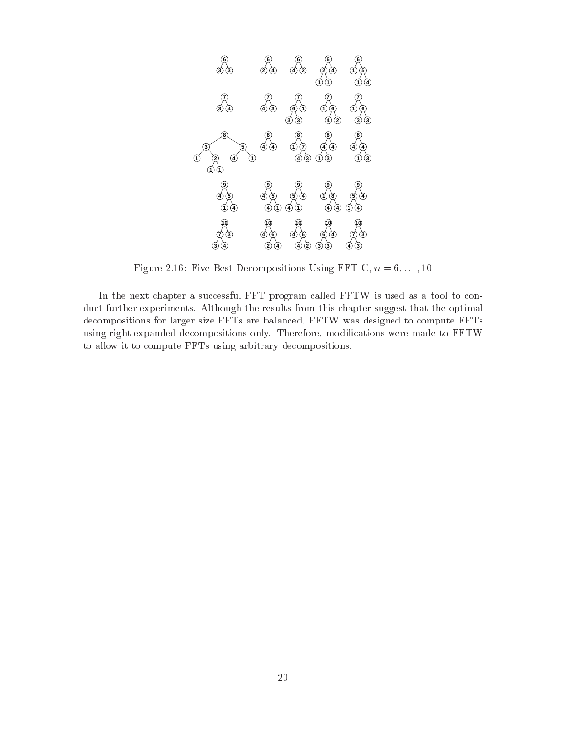

Figure Five Best Decompositions Using FFTC n --

In the next chapter a successful FFT program called FFTW is usedas a tool to con duct further experiments Although the results from this chapter suggest that the optimal decompositions for larger size FFTs are balanced, FFTW was designed to compute FFTs using right-expanded decompositions only. Therefore, modifications were made to FFTW to allow it to compute FFTs using arbitrary decompositions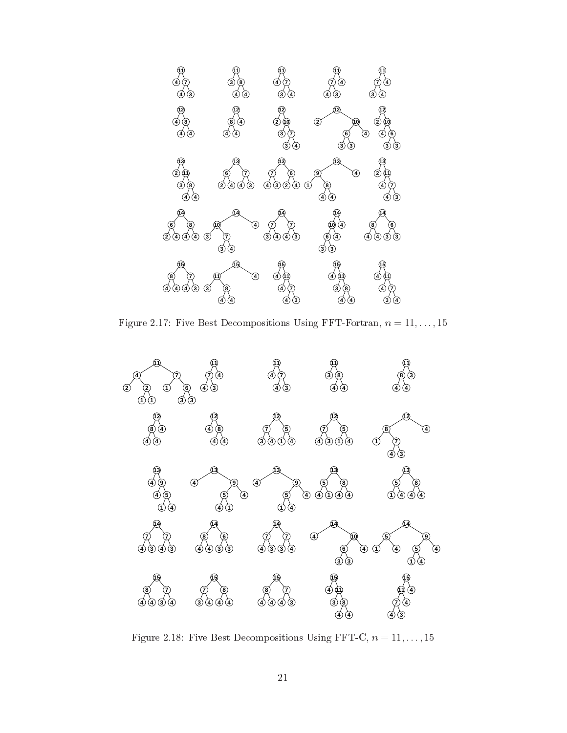

Figure Five Best Decompositions Using FFTFortran n 

--



Figure Five Best Decompositions Using FFTC n 

--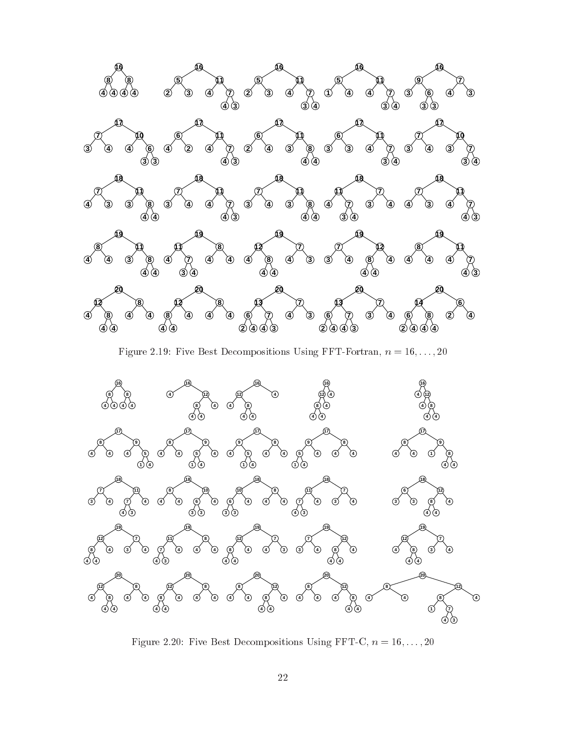

Figure Five Best Decompositions Using FFTFortran n 
--



Figure Five Best Decompositions Using FFTC n 
--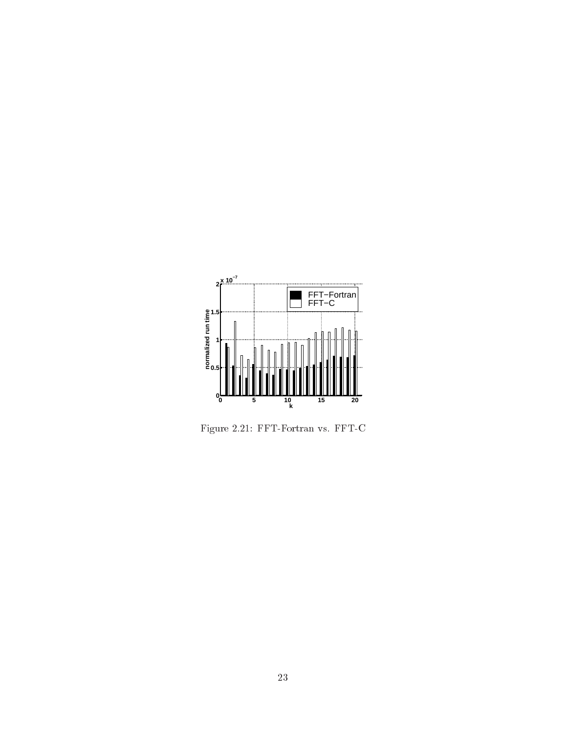

Figure FFTFortran vs FFTC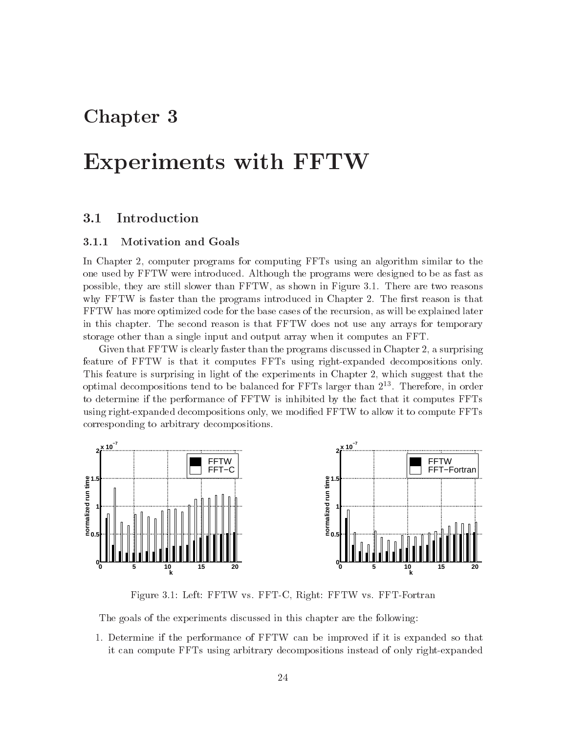## Chapter 3

## Experiments with FFTW

#### $3.1$ Introduction

#### Motivation and Goals

In Chapter computer programs for computing FFTs using an algorithm similar to the one used by FFTW were introduced Although the programs were designed to be as fast as possible, they are still slower than FFTW, as shown in Figure 3.1. There are two reasons why first than the control than the programs interaction in Chapter 2014 in Chapter in Chapter in Chapter 2014 FFTW has more optimized code for the base cases of the recursion as will be explained later in this chapter. The second reason is that FFTW does not use any arrays for temporary storage other than a single input and output array when it computes an FFT

Given that FFTW is clearly faster than the programs discussed in Chapter a surprising feature of FFTW is that it computes FFTs using right-expanded decompositions only. This feature is surprising in light of the experiments in Chapter which suggest that the optimal decompositions tend to be balanced for FFTs larger than Therefore in order to determine if the performance of FFTW is inhibited by the fact that it computes FFTs using right-expanded decompositions only, we modified FFTW to allow it to compute FFTs corresponding to arbitrary decompositions



Figure 3.1: Left: FFTW vs. FFT-C, Right: FFTW vs. FFT-Fortran

The goals of the experiments discussed in this chapter are the following

 Determine ifthe performance of FFTW can be improved if it is expanded so that it can compute FFTs using arbitrary decompositions instead of only rightexpanded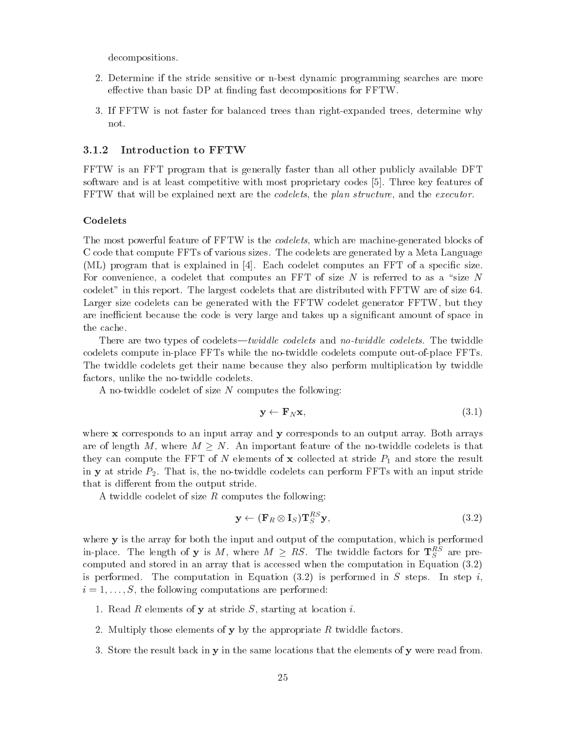decompositions

- Determine ifthe stride sensitive or nbest dynamic programming searches are more e-ective than basic DP at nding fast decompositions for FFTW
- 3. If FFTW is not faster for balanced trees than right-expanded trees, determine why not

#### 3.1.2 Introduction to FFTW

FFTW is an FFT program that is generally faster than all other publicly available DFT software and is at least competitive with most proprietary codes [5]. Three key features of FFTW that will be explained next are the *codelets*, the plan structure, and the executor.

#### Codelets

The most powerful feature of FFTW is the *codelets*, which are machine-generated blocks of C code that compute FFTs of various sizes The codelets are generated by a Meta Language (ML) program that is explained in  $[4]$ . Each codelet computes an FFT of a specific size. For convenience, a codelet that computes an FFT of size  $N$  is referred to as a "size  $N$ codelet" in this report. The largest codelets that are distributed with  $FFTW$  are of size 64. Larger size codelets can be generated with the FFTW codelet generator FFTW, but they are inefficient because the code is very large and takes up a significant amount of space in the cache

There are two types of codelets"twidd le codelets and no-twidd le codelets The twiddle codelets compute in-place FFTs while the no-twiddle codelets compute out-of-place FFTs. The twiddle codelets get their name because they also perform multiplication by twiddle factors, unlike the no-twiddle codelets.

A no-twiddle codelet of size  $N$  computes the following:

$$
\mathbf{y} \leftarrow \mathbf{F}_N \mathbf{x},\tag{3.1}
$$

where  $x$  corresponds to an input array and  $y$  corresponds to an output array. Both arrays are of length M, where  $M > N$ . An important feature of the no-twiddle codelets is that they can compute the FFT of N elements of x collected atstride P and store the result in **y** at stride  $P_2$ . That is, the no-twiddle codelets can perform FFTs with an input stride that is di-definition of the output stride  $\mathbb{P}^n$  . The output stride output stride output stride output stride output stride output stride output stride output stride output stride output stride output stride output s

A twiddle codelet of size  $R$  computes the following:

$$
\mathbf{y} \leftarrow (\mathbf{F}_R \otimes \mathbf{I}_S) \mathbf{T}_S^{RS} \mathbf{y},\tag{3.2}
$$

where  $\mathbf y$  is the array for both the input and output of the computation, which is performed in-place. The length of **y** is M, where  $M \geq KS$ . The twiddle factors for  $T_S^{\perp}$  are precomputed and stored in an array that is accessed when the computation in Equation in Equation in Equation in Equation in Equation in Equation in Equation in Equation in Equation in Equation in Equation in Equation in Equat is performed The computation in Equation (VII) is performed in S steps In step in S step in S step in S step i i 
--S the following computations are performed

- 1. Read  $R$  elements of  $y$  at stride  $S$ , starting at location  $i$ .
- Multiply those elements of y by the appropriate R twide factors of  $\mathcal{B}$  twide  $\mathcal{B}$
- 3. Store the result back in  $y$  in the same locations that the elements of  $y$  were read from.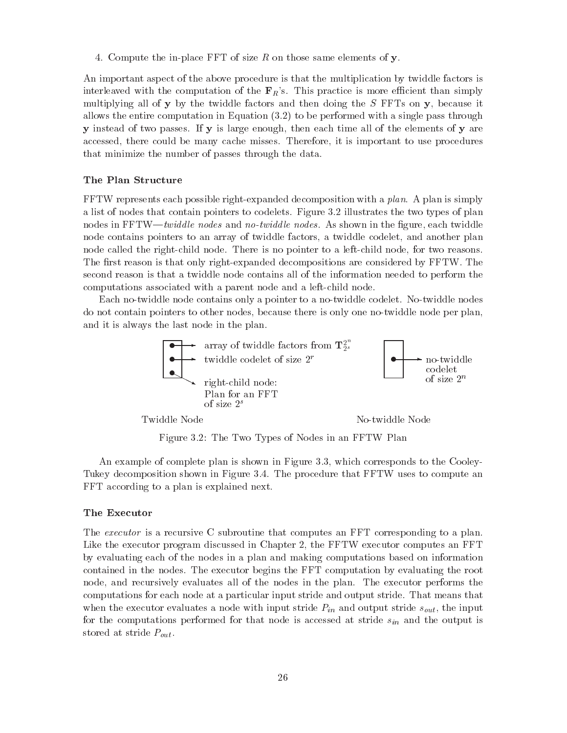4. Compute the in-place FFT of size  $R$  on those same elements of  $\mathbf{y}$ .

An important aspect of the above procedure is that the multiplication by twiddle factors is interleaved with the computation of the  $\mathbf{F}_R$ 's. This practice is more efficient than simply multiplying all of  $\bf{y}$  by the twiddle factors and then doing the  $S$  FFTs on  $\bf{y}$ , because it allows the entire computation in Equation ( ) is a performed with a single pass through  $\sim$ **y** instead of two passes. If **y** is large enough, then each time all of the elements of **y** are accessed, there could be many cache misses. Therefore, it is important to use procedures that minimize the number of passes through the data

#### The Plan Structure

FFTW represents each possible right-expanded decomposition with a plan. A plan is simply a list of nodes that contain pointers that contain pointers  $\mathbf{r}$  is two types of planners the two types of planners  $\mathbf{r}$ nodes in FFTW"twidd le no-twidd le no-twidd le no-twiddle le no-twiddle le no-twiddle le no-twiddle le no-twid node contains pointers to an array of twiddle factors, a twiddle codelet, and another plan node called the right-child node. There is no pointer to a left-child node, for two reasons. The first reason is that only right-expanded decompositions are considered by FFTW. The second reason is that a twiddle node contains all of the information needed to perform the computations associated with a parent node and a left-child node.

Each no-twiddle node contains only a pointer to a no-twiddle codelet. No-twiddle nodes do not contain pointers to other nodes, because there is only one no-twiddle node per plan, and it is always the last node in the plan



Figure The Two Types of Nodes in an FFTW Plan

An example of complete plan is shown in Figure 3.3, which corresponds to the Cooley-Tukey decomposition shown in Figure 3.4. The procedure that FFTW uses to compute an FFT according to a plan is explained next

#### The Executor

The *executor* is a recursive C subroutine that computes an FFT corresponding to a plan. Like the executor program discussed in Chapter the FFTW executor computes an FFT by evaluating each of the nodes in a plan and making computations based on information contained in the nodes The executor begins the FFT computation by evaluating the root node, and recursively evaluates all of the nodes in the plan. The executor performs the computations for each node at a particular input stride and output stride That means that when the executor evaluates a node with input stride  $P_{in}$  and output stride  $s_{out}$ , the input for the computations performed for that node is accessed at stride  $s_{in}$  and the output is stored at stride  $P_{out}$ .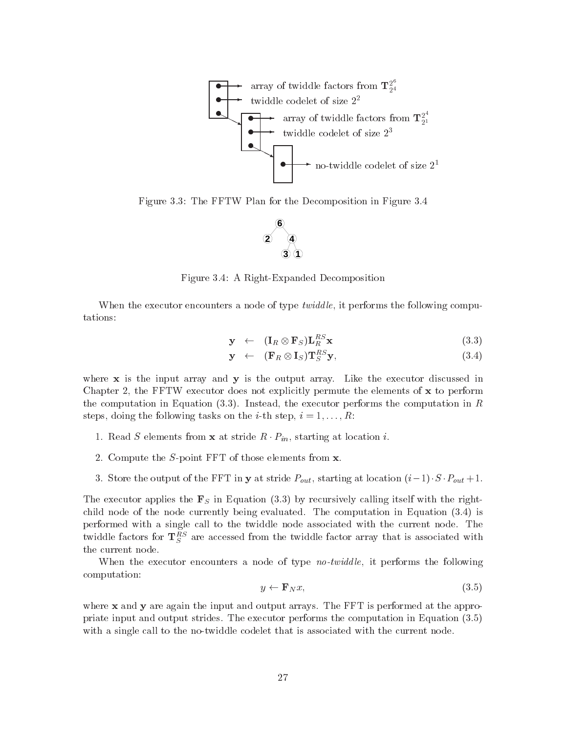

Figure 3.3: The FFTW Plan for the Decomposition in Figure 3.4



Figure 3.4: A Right-Expanded Decomposition

When the executor encounters a node of type *twiddle*, it performs the following computations

$$
\mathbf{y} \quad \leftarrow \quad (\mathbf{I}_R \otimes \mathbf{F}_S) \mathbf{L}_R^{RS} \mathbf{x} \tag{3.3}
$$

$$
\mathbf{y} \quad \leftarrow \quad (\mathbf{F}_R \otimes \mathbf{I}_S) \mathbf{T}_S^{RS} \mathbf{y}, \tag{3.4}
$$

where  $x$  is the input array and  $y$  is the output array. Like the executor discussed in Chapter the FFTW executor does not explicitly permute the elements of x to perform the computation in Equation  $(3.3)$ . Instead, the executor performs the computation in R steps donne the following tasks on the iteration of the interpretation of the interpretation of the interpreta

- 1. Read S elements from **x** at stride  $R \cdot P_{in}$ , starting at location *i*.
- Compute the Spoint FFT of those elements from x
- Store the output of the FFT in <sup>y</sup> at stride Pout starting at location i- S Pout

The executor applies the  $\mathbf{F}_S$  in Equation (3.3) by recursively calling itself with the rightchild node of the node currently being evaluated. The computation in Equation  $(3.4)$  is performed with a single call to the twiddle node associated with the current node. The twiddle factors for  $\texttt T_S^-$  are accessed from the twiddle factor array that is associated with the current node

When the executor encounters a node of type no-twidd le it performs the following computation

$$
y \leftarrow \mathbf{F}_N x,\tag{3.5}
$$

where  $x$  and  $y$  are again the input and output arrays. The FFT is performed at the appropriate input and output strides. The executor performs the computation in Equation  $(3.5)$ with a single call to the no-twiddle codelet that is associated with the current node.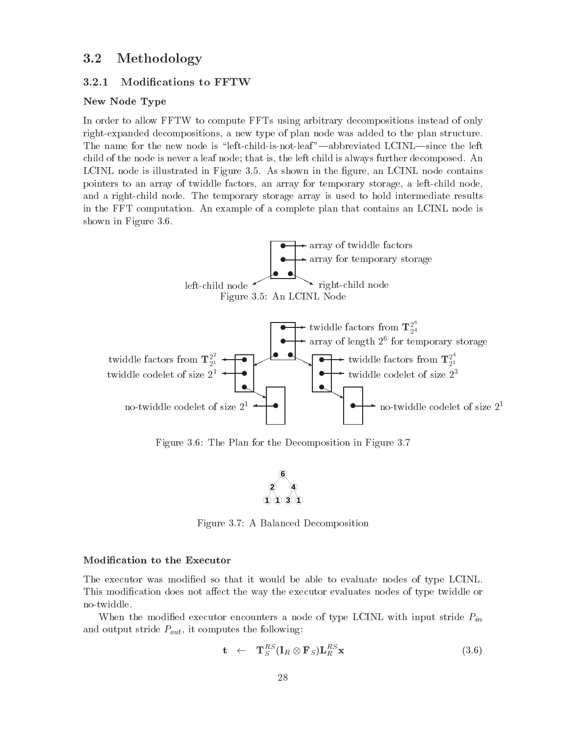#### 3.2 Methodology

### New Node Type

In order to allow FFTW to compute FFTs using arbitrary decompositions instead of only right-expanded decompositions, a new type of plan node was added to the plan structure. The name for the new node is "left-child-is-not-leaf"—abbreviated LCINL—since the left child of the node is never a leaf node; that is, the left child is always further decomposed. An LCINL node is illustrated in Figure 3.5. As shown in the figure, an LCINL node contains pointers to an array of twiddle factors, an array for temporary storage, a left-child node, and a right-child node. The temporary storage array is used to hold intermediate results in the FFT computation An example of a complete plan that contains an LCINL node is shown in Figure 3.6.



Figure 3.6: The Plan for the Decomposition in Figure 3.7



Figure 3.7: A Balanced Decomposition

#### Modification to the Executor

The executor was modified so that it would be able to evaluate nodes of type LCINL. This modication does not a-ect the way the executor evaluates nodes of type twiddle or no-twiddle.

When the modified executor encounters a node of type LCINL with input stride  $P_{in}$ and output stride  $P_{out}$ , it computes the following:

$$
\mathbf{t} \quad \leftarrow \quad \mathbf{T}_{S}^{RS}(\mathbf{I}_{R} \otimes \mathbf{F}_{S})\mathbf{L}_{R}^{RS}\mathbf{x} \tag{3.6}
$$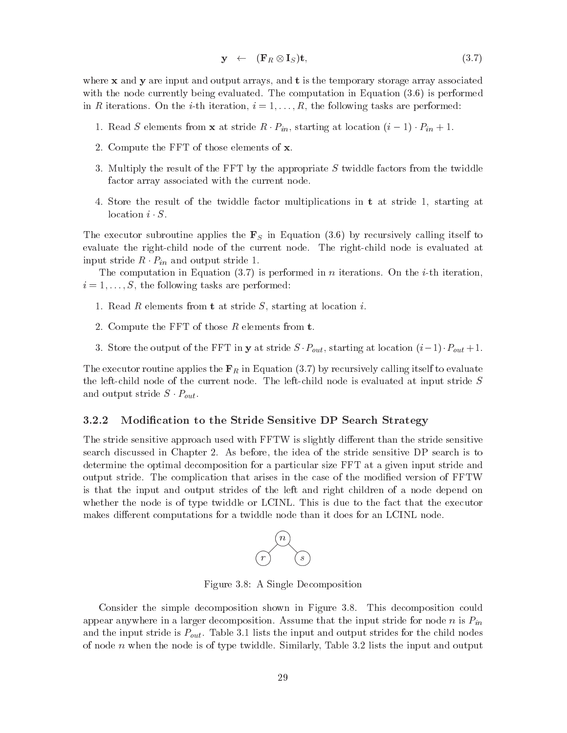$$
\mathbf{y} \leftarrow (\mathbf{F}_R \otimes \mathbf{I}_S)\mathbf{t},\tag{3.7}
$$

where  $x$  and  $y$  are input and output arrays, and  $t$  is the temporary storage array associated with the node currently being evaluated. The computation in Equation  $(3.6)$  is performed in R iterations On the ith iteration i 
--R the following tasks are performed

- $\mathbb{R}^n$  is strident from at stride R  $\mathbb{R}^n$   $\{ \mathbb{R}^n \mid \mathbb{R}^n \leq \mathbb{R}^n \}$  ,  $\mathbb{R}^n$  ,  $\mathbb{R}^n$  ,  $\mathbb{R}^n$  ,  $\mathbb{R}^n$
- Compute the FFT of those elements of x
- 3. Multiply the result of the FFT by the appropriate  $S$  twiddle factors from the twiddle factor array associated with the current node
- 4. Store the result of the twiddle factor multiplications in  $t$  at stride 1, starting at location  $i \cdot S$ .

The executor subroutine applies the  $\mathbf{F}_S$  in Equation (3.6) by recursively calling itself to evaluate the right-child node of the current node. The right-child node is evaluated at input stride  $R \cdot P_{in}$  and output stride 1.

The computation in Equation  $(3.7)$  is performed in n iterations. On the *i*-th iteration, i the following tasks are performed that the following the following the following the following the following the second term of the following the second term of the following the second term of the following term of the

- 1. Read R elements from **t** at stride  $S$ , starting at location *i*.
- Compute the FFT of those R elements from t
- Store the output of the FFT in y at string  $S$  in  $\mu$  and the  $\alpha$  in the  $\alpha$

The executor routine applies the  $\mathbf{F}_R$  in Equation (3.7) by recursively calling itself to evaluate the left-child node of the current node. The left-child node is evaluated at input stride  $S$ and output stride  $S \cdot P_{out}$ .

#### Modification to the Stride Sensitive DP Search Strategy

The stride sensitive approach used with FFTW is slightly di-erent than the stride sensitive search discussed in Chapter I: the idea of the stride sensitive sensitive sensitive of the stride sensitive DP determine the optimal decomposition for a particular size FFT at a given input stride and output stride. The complication that arises in the case of the modified version of FFTW is that the input and output strides of the left and right children of a node depend on whether the node is of type twiddle or LCINL. This is due to the fact that the executor erent computations for a twide the twister of the twide than it does for an LCIN node than it does for an LCIN



Figure 3.8: A Single Decomposition

Consider the simple decomposition shown in Figure 3.8. This decomposition could appear anywhere in a larger decomposition. Assume that the input stride for node n is  $P_{in}$ and the input stride is  $P_{out}$ . Table 3.1 lists the input and output strides for the child nodes of node n when the node is of type twiddle Similarly Table lists the input and output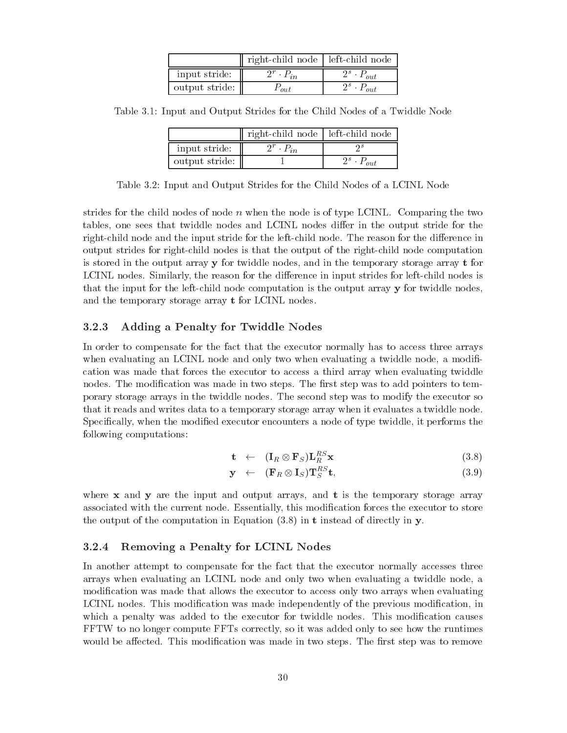|                | right-child node   left-child node |                     |
|----------------|------------------------------------|---------------------|
| input stride:  | $2^r \cdot P_{in}$                 | $2^s \cdot P_{out}$ |
| output stride: | $F_{out}$                          | $2^s \cdot P_{out}$ |

Table 3.1: Input and Output Strides for the Child Nodes of a Twiddle Node

|                | right-child node   left-child node |         |
|----------------|------------------------------------|---------|
| input stride:  |                                    |         |
| output stride: |                                    | $2^s$ . |

Table Input and Output Strides for the Child Nodes of a LCINL Node

strides for the child nodes of node  $n$  when the node is of type LCINL. Comparing the two tables one sees that twiddle nodes and LCINL nodes di-er in the output stride for the rightchild node and the input stride for the input stride for the reason for the reason for the reason for the output strides for right-child nodes is that the output of the right-child node computation is stored in the output array y for twiddle nodes and in the temporary storage array t for LCINL nodes Similarly the reason for the di-erence in input strides for leftchild nodes is that the input for the left-child node computation is the output array y for twiddle nodes, and the temporary storage array  $t$  for LCINL nodes.

## Adding a Penalty for Twiddle Nodes

In order to compensate for the fact that the executor normally has to access three arrays when evaluating an LCINL node and only two when evaluating a twiddle node, a modification was made that forces the executor to access a third array when evaluating twiddle nodes. The modification was made in two steps. The first step was to add pointers to temporary storage arrays in the twiddle nodes The second step was to modify the executor so that it reads and writes data to a temporary storage array when it evaluates a twiddle node Specifically, when the modified executor encounters a node of type twiddle, it performs the following computations

$$
\mathbf{t} \quad \leftarrow \quad (\mathbf{I}_R \otimes \mathbf{F}_S) \mathbf{L}_R^{RS} \mathbf{x} \tag{3.8}
$$

$$
\mathbf{y} \quad \leftarrow \quad (\mathbf{F}_R \otimes \mathbf{I}_S) \mathbf{T}_S^{RS} \mathbf{t}, \tag{3.9}
$$

where  $x$  and  $y$  are the input and output arrays, and  $t$  is the temporary storage array associated with the current node. Essentially, this modification forces the executor to store the output of the computation in Equation  $(3.8)$  in t instead of directly in y.

#### 3.2.4 Removing a Penalty for LCINL Nodes

In another attempt to compensate for the fact that the executor normally accesses three arrays when evaluating an LCINL node and only two when evaluating a twiddle node, a modification was made that allows the executor to access only two arrays when evaluating LCINL nodes. This modification was made independently of the previous modification, in which a penalty was added to the executor for twiddle nodes. This modification causes FFTW to no longer compute FFTs correctly so it was added only to see how the runtimes would be a-rounded This modication was made in the step was to remove the removement was to remove to remove t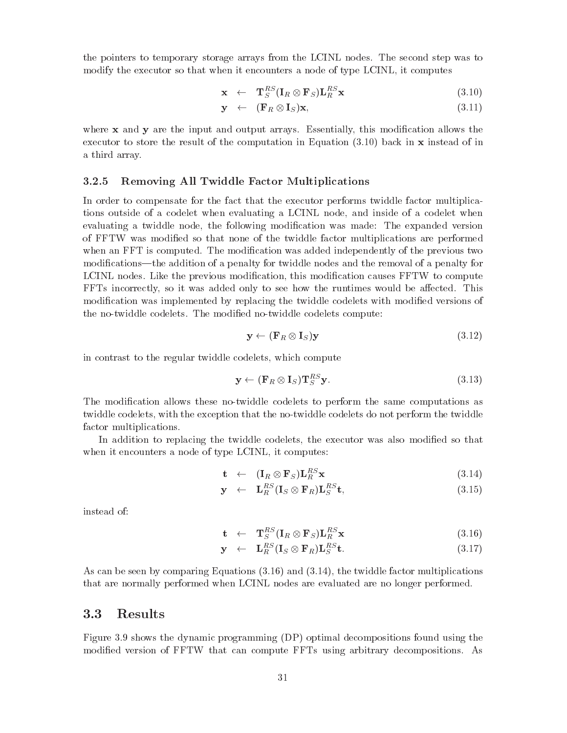the pointers to temporary storage arrays from the LCINL nodes The second step was to modify the executor so that when it encounters a node of type LCINL it computes

$$
\mathbf{x} \quad \leftarrow \quad \mathbf{T}_{S}^{RS}(\mathbf{I}_{R} \otimes \mathbf{F}_{S})\mathbf{L}_{R}^{RS}\mathbf{x} \tag{3.10}
$$

$$
\mathbf{y} \quad \leftarrow \quad (\mathbf{F}_R \otimes \mathbf{I}_S) \mathbf{x}, \tag{3.11}
$$

where  $x$  and  $y$  are the input and output arrays. Essentially, this modification allows the executor to store the result of the computation in Equation  $(3.10)$  back in x instead of in a third array

#### Removing All Twiddle Factor Multiplications 3.2.5

In order to compensate for the fact that the executor performs twiddle factor multiplica tions outside of a codelet when evaluating a LCINL node, and inside of a codelet when evaluating a twiddle node, the following modification was made: The expanded version of FFTW was modied so that none of the twiddle factor multiplications are performed when an FFT is computed. The modification was added independently of the previous two modifications—the addition of a penalty for twiddle nodes and the removal of a penalty for LCINL nodes. Like the previous modification, this modification causes FFTW to compute  $F_{\rm eff}$  is the runtimes would be added only to see how the runtimes would be amodification was implemented by replacing the twiddle codelets with modified versions of the no-twiddle codelets. The modified no-twiddle codelets compute:

$$
\mathbf{y} \leftarrow (\mathbf{F}_R \otimes \mathbf{I}_S)\mathbf{y} \tag{3.12}
$$

in contrast to the regular twiddle codelets, which compute

$$
\mathbf{y} \leftarrow (\mathbf{F}_R \otimes \mathbf{I}_S) \mathbf{T}_S^{RS} \mathbf{y}.\tag{3.13}
$$

The modification allows these no-twiddle codelets to perform the same computations as twiddle codelets, with the exception that the no-twiddle codelets do not perform the twiddle factor multiplications

In addition to replacing the twiddle codelets, the executor was also modified so that when it encounters a node of type LCINL, it computes:

$$
\mathbf{t} \quad \leftarrow \quad (\mathbf{I}_R \otimes \mathbf{F}_S) \mathbf{L}_R^{RS} \mathbf{x} \tag{3.14}
$$

$$
\mathbf{y} \quad \leftarrow \quad \mathbf{L}_{R}^{RS}(\mathbf{I}_{S} \otimes \mathbf{F}_{R})\mathbf{L}_{S}^{RS}\mathbf{t},\tag{3.15}
$$

instead of

$$
\mathbf{t} \quad \leftarrow \quad \mathbf{T}_{S}^{RS}(\mathbf{I}_{R} \otimes \mathbf{F}_{S})\mathbf{L}_{R}^{RS}\mathbf{x} \tag{3.16}
$$

$$
\mathbf{y} \quad \leftarrow \quad \mathbf{L}_{R}^{RS}(\mathbf{I}_{S} \otimes \mathbf{F}_{R})\mathbf{L}_{S}^{RS}\mathbf{t}.\tag{3.17}
$$

As can be seen by comparing Equations  $(3.16)$  and  $(3.14)$ , the twiddle factor multiplications that are normally performed when LCINL nodes are evaluated are no longer performed

## Results

Figure 3.9 shows the dynamic programming  $(DP)$  optimal decompositions found using the modified version of FFTW that can compute FFTs using arbitrary decompositions. As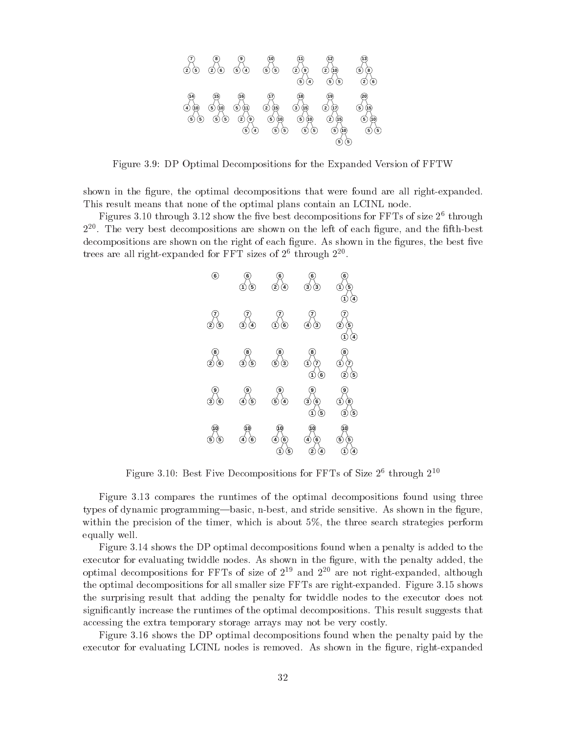

Figure 3.9: DP Optimal Decompositions for the Expanded Version of FFTW

shown in the figure, the optimal decompositions that were found are all right-expanded. This result means that none of the optimal plans contain an LCINL node

 $\bf r$  igures 5.10 through 5.12 show the live best decompositions for  $\bf r$   $\bf r$  is of size  $\bf z^*$  through 2<sup>--</sup>. The very best decompositions are shown on the left of each figure, and the filth-best decompositions are shown on the right of each figure. As shown in the figures, the best five trees are all right-expanded for  ${\tt Fr}$  is sizes of  $2^+$  through  $2^{--}$ .



Figure 5.10: Best Five Decompositions for FFTs of Size  $2^-$  through  $2^{++}$ 

Figure 3.13 compares the runtimes of the optimal decompositions found using three types of dynamic programming—basic, n-best, and stride sensitive. As shown in the figure, within the precision of the timer, which is about  $5\%$ , the three search strategies perform equally well

Figure 3.14 shows the DP optimal decompositions found when a penalty is added to the executor for evaluating twiddle nodes. As shown in the figure, with the penalty added, the optimal decompositions for  ${\tt r}$ r is of size of  ${\tt Z}^+$  and  ${\tt Z}^+$  are not right-expanded, although the optimal decompositions for all smaller size FFTs are right-expanded. Figure 3.15 shows the surprising result that adding the penalty for twiddle nodes to the executor does not significantly increase the runtimes of the optimal decompositions. This result suggests that accessing the extra temporary storage arrays may not be very costly

Figure 3.16 shows the DP optimal decompositions found when the penalty paid by the executor for evaluating LCINL nodes is removed. As shown in the figure, right-expanded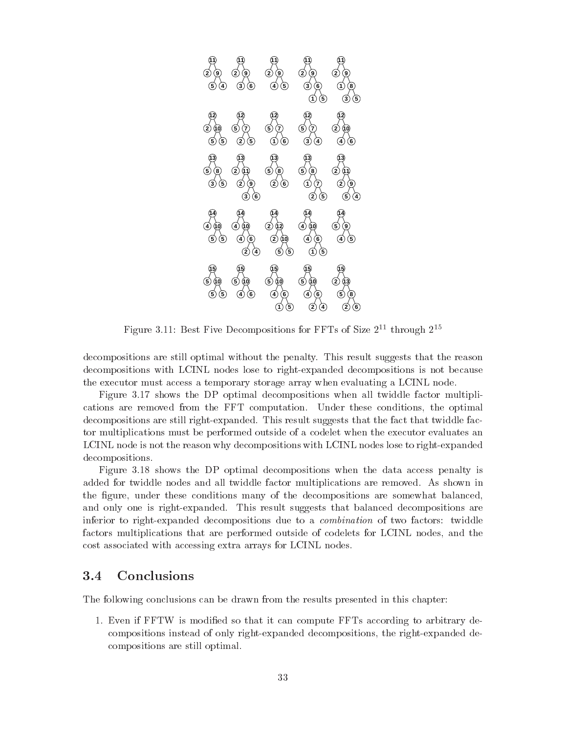

Figure 5.11: Best Five Decompositions for FFTs of Size 2<sup>++</sup> through 2<sup>+\*</sup>

decompositions are still optimal without the penalty. This result suggests that the reason decompositions with LCINL nodes lose to right-expanded decompositions is not because the executor must access a temporary storage array when evaluating a LCINL node

Figure 3.17 shows the DP optimal decompositions when all twiddle factor multiplications are removed from the FFT computation. Under these conditions, the optimal decompositions are still right-expanded. This result suggests that the fact that twiddle factor multiplications must be performed outside of a codelet when the executor evaluates an LCINL node is not the reason why decompositions with LCINL nodes lose to right-expanded decompositions

Figure 3.18 shows the DP optimal decompositions when the data access penalty is added for twiddle nodes and all twiddle factor multiplications are removed. As shown in the figure, under these conditions many of the decompositions are somewhat balanced. and only one is right-expanded. This result suggests that balanced decompositions are inferior to right-expanded decompositions due to a *combination* of two factors: twiddle factors multiplications that are performed outside of codelets for LCINL nodes and the cost associated with accessing extra arrays for LCINL nodes

#### 3.4 **Conclusions**

The following conclusions can be drawn from the results presented in this chapter

1. Even if FFTW is modified so that it can compute FFTs according to arbitrary decompositions instead of only right-expanded decompositions, the right-expanded decompositions are still optimal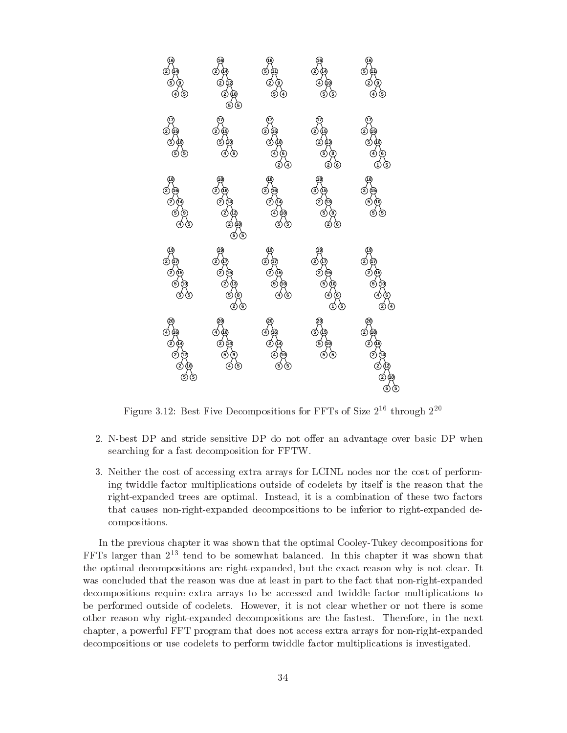

Figure 5.12: Best Five Decompositions for FFTs of Size  $2^{**}$  through  $2^{**}$ 

- Nbest DP and stride sensitive DP do not o-er an advantage over basic DP when searching for a fast decomposition for FFTW
- 3. Neither the cost of accessing extra arrays for LCINL nodes nor the cost of performing twiddle factor multiplications outside of codelets by itself is the reason that the right-expanded trees are optimal. Instead, it is a combination of these two factors that causes non-right-expanded decompositions to be inferior to right-expanded decompositions

In the previous chapter it was shown that the optimal Cooley-Tukey decompositions for FFTs larger than tend to be somewhat balanced In this chapter it was shown that the optimal decompositions are right-expanded, but the exact reason why is not clear. It was concluded that the reason was due at least in part to the fact that non-right-expanded decompositions require extra arrays to be accessed and twiddle factor multiplications to be performed outside of codelets. However, it is not clear whether or not there is some other reason why right-expanded decompositions are the fastest. Therefore, in the next chapter, a powerful FFT program that does not access extra arrays for non-right-expanded decompositions or use codelets to perform twiddle factor multiplications is investigated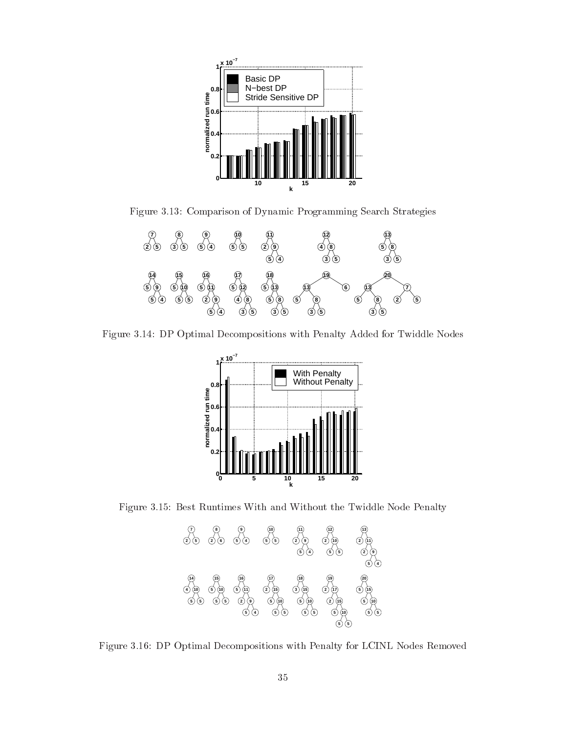

Figure Comparison of Dynamic Programming Search Strategies



Figure 3.14: DP Optimal Decompositions with Penalty Added for Twiddle Nodes



Figure 3.15: Best Runtimes With and Without the Twiddle Node Penalty



Figure 3.16: DP Optimal Decompositions with Penalty for LCINL Nodes Removed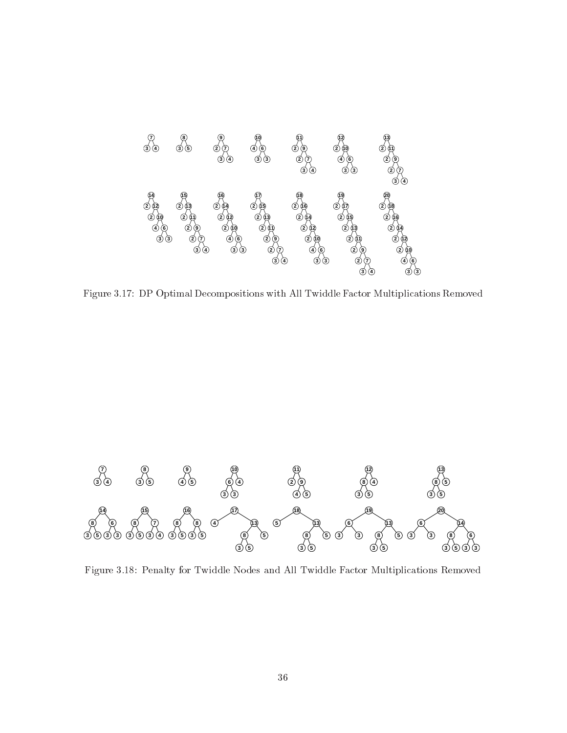

Figure 3.17: DP Optimal Decompositions with All Twiddle Factor Multiplications Removed



Figure 3.18: Penalty for Twiddle Nodes and All Twiddle Factor Multiplications Removed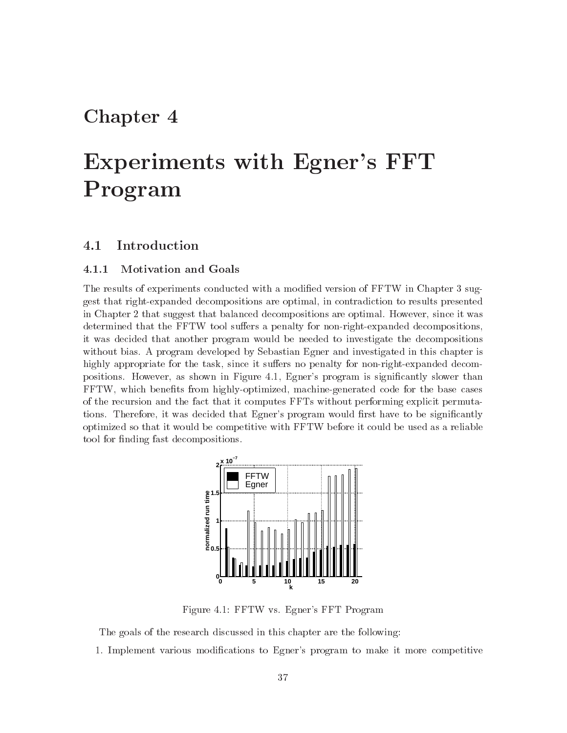## Chapter 4

# Experiments with Egner's FFT Program

#### 4.1 Introduction

## Motivation and Goals

The results of experiments conducted with a modified version of FFTW in Chapter 3 suggest that right-expanded decompositions are optimal, in contradiction to results presented in Chapter that suggest that balanced decompositions are optimal However since it was determined that the FFTW tool su-ers a penalty for nonrightexpanded decompositions it was decided that another program would be needed to investigate the decompositions without bias A program developed by Sebastian Egner and investigated in this chapter is highly appropriate for the task since it su-ers no penalty for nonrightexpanded decom positions. However, as shown in Figure 4.1, Egner's program is significantly slower than FFTW, which benefits from highly-optimized, machine-generated code for the base cases of the recursion and the fact that it computes FFTs without performing explicit permuta tions. Therefore, it was decided that Egner's program would first have to be significantly optimized so that it would be competitive with FFTW before it could be used as a reliable tool for finding fast decompositions.



Figure 4.1: FFTW vs. Egner's FFT Program

The goals of the research discussed in this chapter are the following

1. Implement various modifications to Egner's program to make it more competitive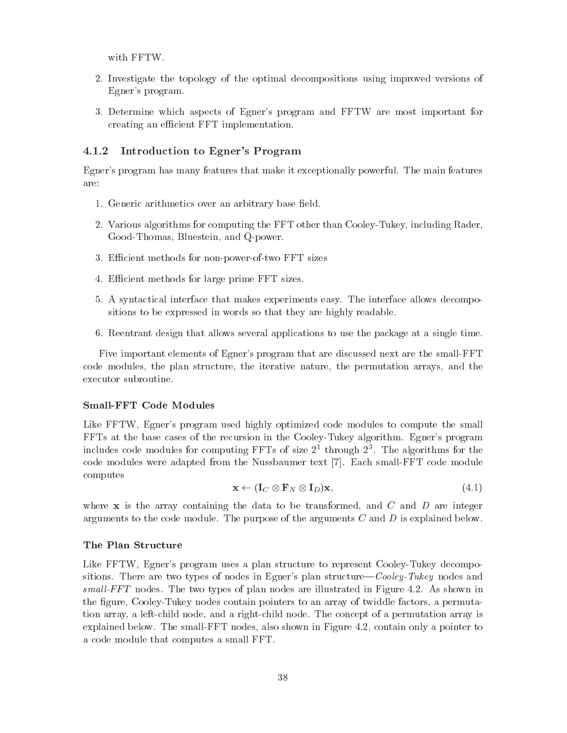with FFTW

- Investigate the topology of the optimal decompositions using improved versions of Egner's program.
- 3. Determine which aspects of Egner's program and FFTW are most important for creating an efficient FFT implementation.

#### Introduction to Egner s Program

Egner's program has many features that make it exceptionally powerful. The main features are:

- 1. Generic arithmetics over an arbitrary base field.
- $V$ arious algorithms for computing the FFT other than  $C$  other than  $C$  including  $R$ Good-Thomas, Bluestein, and Q-power.
- 3. Efficient methods for non-power-of-two FFT sizes
- 4. Efficient methods for large prime FFT sizes.
- A syntactical interface that makes experiments easy The interface allows decompo sitions to be expressed in words so that they are highly readable
- 6. Reentrant design that allows several applications to use the package at a single time.

Five important elements of Egner's program that are discussed next are the small-FFT code modules, the plan structure, the iterative nature, the permutation arrays, and the executor subroutine

#### SmallFFT Code Modules

Like FFTW, Egner's program used highly optimized code modules to compute the small FFTs at the base cases of the recursion in the CooleyTukey algorithm Egners program includes code modules for computing  ${\tt r}$  is of size  $z^{\ast}$  through  $z^{\ast}$ . The algorithms for the code modules were adapted from the Nussbaumer text [7]. Each small-FFT code module computes

$$
\mathbf{x} \leftarrow (\mathbf{I}_C \otimes \mathbf{F}_N \otimes \mathbf{I}_D) \mathbf{x},\tag{4.1}
$$

where  $x$  is the array containing the data to be transformed, and  $C$  and  $D$  are integer arguments to the code module. The purpose of the arguments  $C$  and  $D$  is explained below.

#### The Plan Structure

Like FFTW, Egner's program uses a plan structure to represent Cooley-Tukey decompositions There are two types of nodes in Egners plan structure"Cooley-Tukey nodes and smal l-FFT nodesThe two types of plan nodes are illustrated in Figure As shown in the figure, Cooley-Tukey nodes contain pointers to an array of twiddle factors, a permutation array, a left-child node, and a right-child node. The concept of a permutation array is explained below The smallFTT also shown in The small  $\alpha$  and shown in Figure 1 and 1 and 1 and 1 and 1 and 1 and 1 and 1 and 1 and 1 and 1 and 1 and 1 and 1 and 1 and 1 and 1 and 1 and 1 and 1 and 1 and 1 and 1 and 1 and a code module that computes a small FFT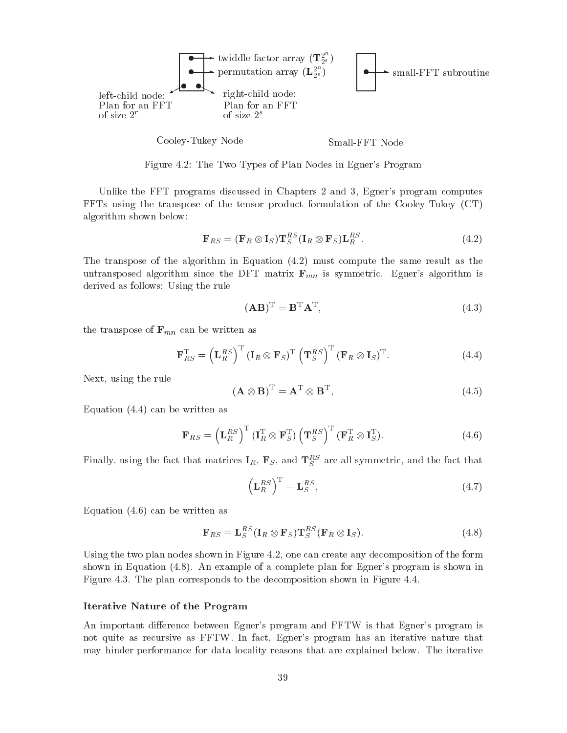

Figure  $\mathcal{F}$  . The Two Types of Plan Nodes in Eqners Program Nodes in Eqn. 2. The Types of Plan Nodes in Egners Program Nodes in Eqn. 2. The Types of Plan Nodes in Eq. 2. The Types of Plan Nodes in Eq. 2. The Types of

Unlike the FFT programs discussed in Chapters and Egners program computes  $\text{FFTs}$  using the transpose of the tensor product formulation of the Cooley-Tukey (CT) algorithm shown below

$$
\mathbf{F}_{RS} = (\mathbf{F}_R \otimes \mathbf{I}_S) \mathbf{T}_S^{RS} (\mathbf{I}_R \otimes \mathbf{F}_S) \mathbf{L}_R^{RS}.
$$
 (4.2)

The transpose of the algorithm in Equation must compute the same result as the untransposed algorithm since the DFT matrix  $\mathbf{F}_{mn}$  is symmetric. Egner's algorithm is derived as follows: Using the rule

$$
(\mathbf{A}\mathbf{B})^{\mathrm{T}} = \mathbf{B}^{\mathrm{T}}\mathbf{A}^{\mathrm{T}},\tag{4.3}
$$

the transpose of  $\mathbf{F}_{mn}$  can be written as

$$
\mathbf{F}_{RS}^{\mathrm{T}} = \left(\mathbf{L}_{R}^{RS}\right)^{\mathrm{T}} \left(\mathbf{I}_{R} \otimes \mathbf{F}_{S}\right)^{\mathrm{T}} \left(\mathbf{T}_{S}^{RS}\right)^{\mathrm{T}} \left(\mathbf{F}_{R} \otimes \mathbf{I}_{S}\right)^{\mathrm{T}}.
$$
 (4.4)

Next, using the rule

$$
(\mathbf{A}\otimes\mathbf{B})^{\mathrm{T}} = \mathbf{A}^{\mathrm{T}}\otimes\mathbf{B}^{\mathrm{T}},\tag{4.5}
$$

Equation  $(4.4)$  can be written as

$$
\mathbf{F}_{RS} = \left(\mathbf{L}_{R}^{RS}\right)^{\mathrm{T}} \left(\mathbf{I}_{R}^{\mathrm{T}} \otimes \mathbf{F}_{S}^{\mathrm{T}}\right) \left(\mathbf{T}_{S}^{RS}\right)^{\mathrm{T}} \left(\mathbf{F}_{R}^{\mathrm{T}} \otimes \mathbf{I}_{S}^{\mathrm{T}}\right). \tag{4.6}
$$

Finally, using the fact that matrices  ${\bf 1}_R, \ {\bf F}_S,$  and  ${\bf 1}_S^-$  are all symmetric, and the fact that

$$
\left(\mathbf{L}_{R}^{RS}\right)^{\mathrm{T}} = \mathbf{L}_{S}^{RS},\tag{4.7}
$$

Equation  $(4.6)$  can be written as

$$
\mathbf{F}_{RS} = \mathbf{L}_{S}^{RS} (\mathbf{I}_{R} \otimes \mathbf{F}_{S}) \mathbf{T}_{S}^{RS} (\mathbf{F}_{R} \otimes \mathbf{I}_{S}). \tag{4.8}
$$

Using the two plans in the the two can capacities shown in Figure 2012 and the form of the form of the form of shown in Equation  $(4.8)$ . An example of a complete plan for Egner's program is shown in Figure 4.3. The plan corresponds to the decomposition shown in Figure 4.4.

#### Iterative Nature of the Program

erence between Egners program and FFTW is the Egners program is the FFTW is the FFTW is the Egners program is th not quite as recursive as FFTW. In fact, Egner's program has an iterative nature that may hinder performance for data locality reasons that are explained below The iterative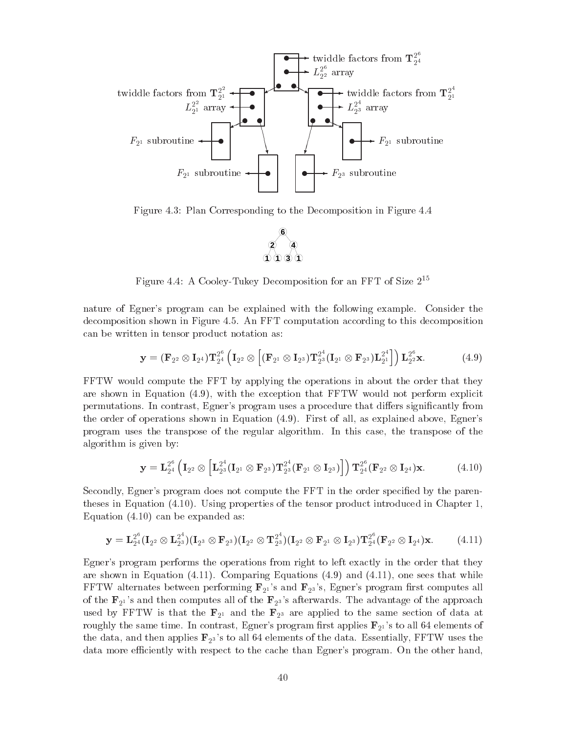

Figure 4.3: Plan Corresponding to the Decomposition in Figure 4.4



Figure 4.4: A Cooley-Tukey Decomposition for an FFT of Size  $2^{++}$ 

nature of Egner's program can be explained with the following example. Consider the decomposition shown in Figure 4.5. An FFT computation according to this decomposition can be written in tensor product notation as

$$
\mathbf{y} = (\mathbf{F}_{2^2} \otimes \mathbf{I}_{2^4}) \mathbf{T}_{2^4}^{2^6} \left( \mathbf{I}_{2^2} \otimes \left[ (\mathbf{F}_{2^1} \otimes \mathbf{I}_{2^3}) \mathbf{T}_{2^3}^{2^4} (\mathbf{I}_{2^1} \otimes \mathbf{F}_{2^3}) \mathbf{L}_{2^1}^{2^4} \right] \right) \mathbf{L}_{2^2}^{2^6} \mathbf{x}.
$$
 (4.9)

FFTW would compute the FFT by applying the operations in about the order that they are shown in Equation  $(4.9)$ , with the exception that FFTW would not perform explicit permutations In contrast Egners program uses a procedure that di-ers signicantly from the order of operations shown in Equation  $(4.9)$ . First of all, as explained above, Egner's program uses the transpose of the regular algorithm. In this case, the transpose of the algorithm is given by

$$
\mathbf{y} = \mathbf{L}_{2^4}^{2^6} \left( \mathbf{I}_{2^2} \otimes \left[ \mathbf{L}_{2^3}^{2^4} (\mathbf{I}_{2^1} \otimes \mathbf{F}_{2^3}) \mathbf{T}_{2^3}^{2^4} (\mathbf{F}_{2^1} \otimes \mathbf{I}_{2^3}) \right] \right) \mathbf{T}_{2^4}^{2^6} (\mathbf{F}_{2^2} \otimes \mathbf{I}_{2^4}) \mathbf{x}.
$$
 (4.10)

Secondly, Egner's program does not compute the FFT in the order specified by the parentheses in Equation  $(4.10)$ . Using properties of the tensor product introduced in Chapter 1, Equation  $(4.10)$  can be expanded as:

$$
\mathbf{y} = \mathbf{L}_{2^4}^{2^6}(\mathbf{I}_{2^2} \otimes \mathbf{L}_{2^3}^{2^4})(\mathbf{I}_{2^3} \otimes \mathbf{F}_{2^3})(\mathbf{I}_{2^2} \otimes \mathbf{T}_{2^3}^{2^4})(\mathbf{I}_{2^2} \otimes \mathbf{F}_{2^1} \otimes \mathbf{I}_{2^3})\mathbf{T}_{2^4}^{2^6}(\mathbf{F}_{2^2} \otimes \mathbf{I}_{2^4})\mathbf{x}.
$$
 (4.11)

Egner's program performs the operations from right to left exactly in the order that they are shown in Equation  $(4.11)$ . Comparing Equations  $(4.9)$  and  $(4.11)$ , one sees that while FFTW alternates between performing  $\mathbf{F}_{21}$ 's and  $\mathbf{F}_{23}$ 's, Egner's program first computes all of the  $\mathbf{F}_{21}$ 's and then computes all of the  $\mathbf{F}_{23}$ 's afterwards. The advantage of the approach used by FFTW is that the  $\mathbf{F}_{2^1}$  and the  $\mathbf{F}_{2^3}$  are applied to the same section of data at roughly the same time. In contrast, Egner's program first applies  $\mathbf{F}_{21}$ 's to all 64 elements of the data, and then applies  $\mathbf{F}_{2^3}$ 's to all 64 elements of the data. Essentially, FFTW uses the data more efficiently with respect to the cache than Egner's program. On the other hand,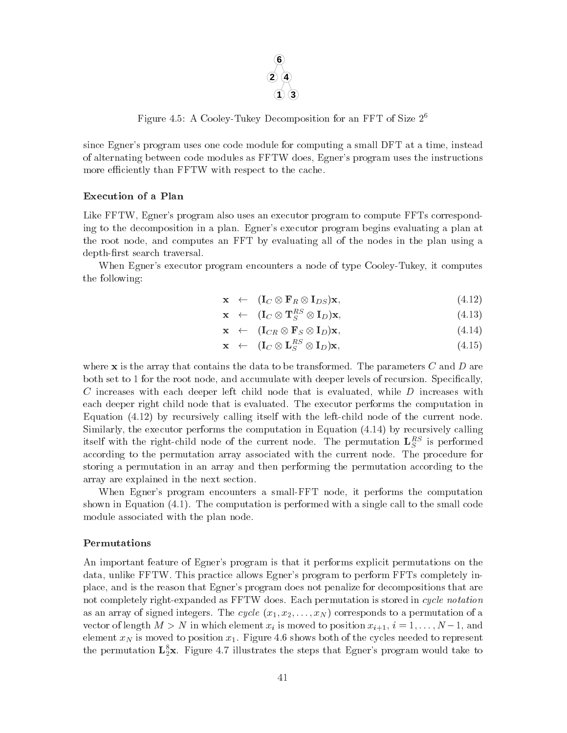

Figure 4.3: A Cooley-Tukey Decomposition for an FFT of Size  $2^{\circ}$ 

since Egner's program uses one code module for computing a small DFT at a time, instead of alternating between code modules as FFTW does, Egner's program uses the instructions more efficiently than FFTW with respect to the cache.

## Execution of a Plan

Like FFTW. Egner's program also uses an executor program to compute FFTs corresponding to the decomposition in a plan. Egner's executor program begins evaluating a plan at the root node and computes an FFT byevaluating all of the nodes in the plan using a depth-first search traversal.

When Egner's executor program encounters a node of type Cooley-Tukey, it computes the following

$$
\mathbf{x} \quad \leftarrow \quad (\mathbf{I}_C \otimes \mathbf{F}_R \otimes \mathbf{I}_{DS})\mathbf{x},\tag{4.12}
$$

$$
\mathbf{x} \quad \leftarrow \quad (\mathbf{I}_C \otimes \mathbf{T}_S^{RS} \otimes \mathbf{I}_D) \mathbf{x}, \tag{4.13}
$$

$$
\mathbf{x} \quad \leftarrow \quad (\mathbf{I}_{CR} \otimes \mathbf{F}_S \otimes \mathbf{I}_D) \mathbf{x}, \tag{4.14}
$$

$$
\mathbf{x} \quad \leftarrow \quad (\mathbf{I}_C \otimes \mathbf{L}_S^{RS} \otimes \mathbf{I}_D) \mathbf{x}, \tag{4.15}
$$

where  $x$  is the array that contains the data to be transformed. The parameters  $C$  and  $D$  are both set to 1 for the root node, and accumulate with deeper levels of recursion. Specifically,  $C$  increases with each deeper left child node that is evaluated, while  $D$  increases with each deeper right child node that is evaluated. The executor performs the computation in Equation by recursively calling itself with the leftchild node of the current node Similarly, the executor performs the computation in Equation  $(4.14)$  by recursively calling itself with the right-child hode of the current hode. The permutation  $L_S^{\sigma-}$  is performed according to the permutation array associated with the current node. The procedure for storing a permutation in an array and then performing the permutation according to the array are explained in the next section

When Egner's program encounters a small-FFT node, it performs the computation shown in Equation  $(4.1)$ . The computation is performed with a single call to the small code module associated with the plan node

### Permutations

An important feature of Egner's program is that it performs explicit permutations on the data, unlike FFTW. This practice allows Egner's program to perform FFTs completely inplace, and is the reason that Egner's program does not penalize for decompositions that are not completely right-expanded as FFTW does. Each permutation is stored in cycle notation as an array of signed integration of signed integration  $\mu$  and  $\mu$  and  $\mu$  array of a permutation of a permutation of a permutation of a permutation of a permutation of an array of an array of a permutation of a permut vector of length M in which we can be a series of  $\mu$  is more very simple to position  $\mu$  in  $\mu$  is a series of  $\mu$ element  $x_N$  is moved to position  $x_1$ . Figure 4.6 shows both of the cycles needed to represent the permutation  $\mathbf{L}_2\mathbf{x}$ . Figure 4.7 miustrates the steps that Egner's program would take to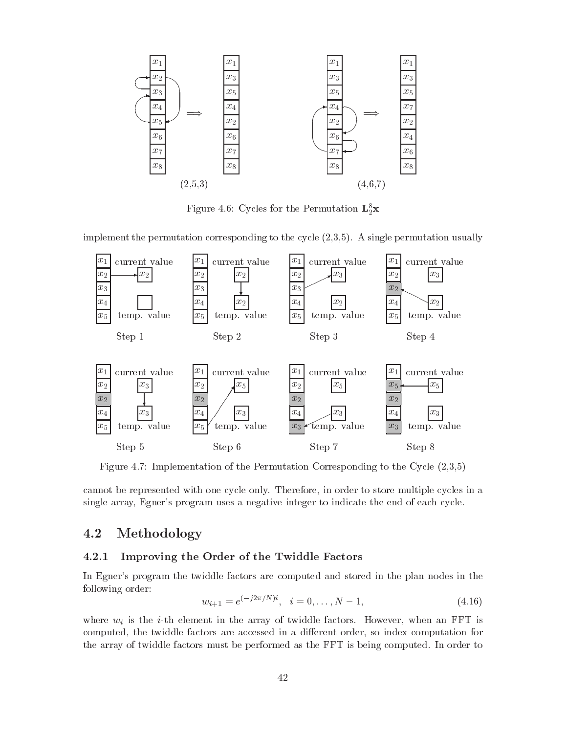

 ${\bf r}$  igure 4.0: Cycles for the Permutation  ${\bf L}_2{\bf x}$ 

implement the permutation corresponding to the cycle A single permutation usually



Figure Implementation of the Permutation Corresponding to the Cycle 

cannot be represented with one cycle only Therefore in order to store multiple cycles in a single array, Egner's program uses a negative integer to indicate the end of each cycle.

#### 4.2 Methodology

## Improving the Order of the Twiddle Factors

In Egner's program the twiddle factors are computed and stored in the plan nodes in the following order

$$
w_{i+1} = e^{(-j2\pi/N)i}, \quad i = 0, \dots, N-1,
$$
\n
$$
(4.16)
$$

where  $w_i$  is the *i*-th element in the array of twiddle factors. However, when an FFT is computed the twiddle factors are accessed in <sup>a</sup> di-erent order so index computation for the array of twiddle factors must be performed as the FFT is being computed. In order to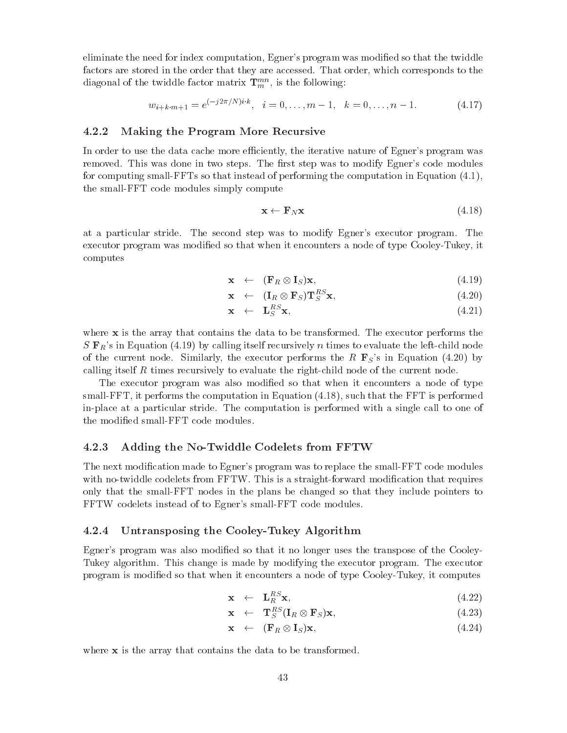eliminate the need for index computation, Egner's program was modified so that the twiddle factors are stored in the order that they are accessed. That order, which corresponds to the diagonal of the twiddle factor matrix  $\mathbf{T}_{m}^{m}$  , is the following:

$$
w_{i+k+m+1} = e^{(-j2\pi/N)i \cdot k}, \quad i = 0, \dots, m-1, \quad k = 0, \dots, n-1.
$$
 (4.17)

### Making the Program More Recursive

In order to use the data cache more efficiently, the iterative nature of Egner's program was removed. This was done in two steps. The first step was to modify Egner's code modules for computing small-FFTs so that instead of performing the computation in Equation  $(4.1)$ , the small-FFT code modules simply compute

$$
\mathbf{x} \leftarrow \mathbf{F}_N \mathbf{x} \tag{4.18}
$$

at a particular stride. The second step was to modify Egner's executor program. The executor program was modified so that when it encounters a node of type Cooley-Tukey, it computes

$$
\mathbf{x} \leftarrow (\mathbf{F}_R \otimes \mathbf{I}_S) \mathbf{x}, \tag{(4.19)}
$$

$$
\mathbf{x} \quad \leftarrow \quad (\mathbf{I}_R \otimes \mathbf{F}_S) \mathbf{T}_S^{RS} \mathbf{x}, \tag{4.20}
$$

$$
\mathbf{x} \quad \leftarrow \quad \mathbf{L}_{S}^{RS} \mathbf{x}, \tag{4.21}
$$

where  $x$  is the array that contains the data to be transformed. The executor performs the  $S \mathbf{F}_R$ 's in Equation (4.19) by calling itself recursively n times to evaluate the left-child node  $\alpha$  the current node similarly the execution  $\alpha$  in Equation performs the R FSs in Equation ( ) and ( ) and ( ) and ( ) and ( ) and ( ) and ( ) and ( ) and ( ) and ( ) and ( ) and ( ) and ( ) and ( ) and ( ) and ( ) and calling itself R times recursively to evaluate the right-child node of the current node.

The executor program was also modified so that when it encounters a node of type small-FFT, it performs the computation in Equation  $(4.18)$ , such that the FFT is performed in-place at a particular stride. The computation is performed with a single call to one of the modified small-FFT code modules.

## Adding the No-Twiddle Codelets from FFTW

The next modification made to Egner's program was to replace the small-FFT code modules with no-twiddle codelets from FFTW. This is a straight-forward modification that requires only that the small-FFT nodes in the plans be changed so that they include pointers to FFTW codelets instead of to Egner's small-FFT code modules.

#### 4.2.4 Untransposing the Cooley-Tukey Algorithm

Egner's program was also modified so that it no longer uses the transpose of the Cooley-Tukey algorithm. This change is made by modifying the executor program. The executor program is modified so that when it encounters a node of type Cooley-Tukey, it computes

$$
\mathbf{x} \quad \leftarrow \quad \mathbf{L}_{R}^{RS} \mathbf{x}, \tag{4.22}
$$

$$
\mathbf{x} \quad \leftarrow \quad \mathbf{T}_{S}^{RS}(\mathbf{I}_{R} \otimes \mathbf{F}_{S})\mathbf{x},\tag{4.23}
$$

$$
\mathbf{x} \leftarrow (\mathbf{F}_R \otimes \mathbf{I}_S) \mathbf{x}, \tag{(4.24)}
$$

where  $x$  is the array that contains the data to be transformed.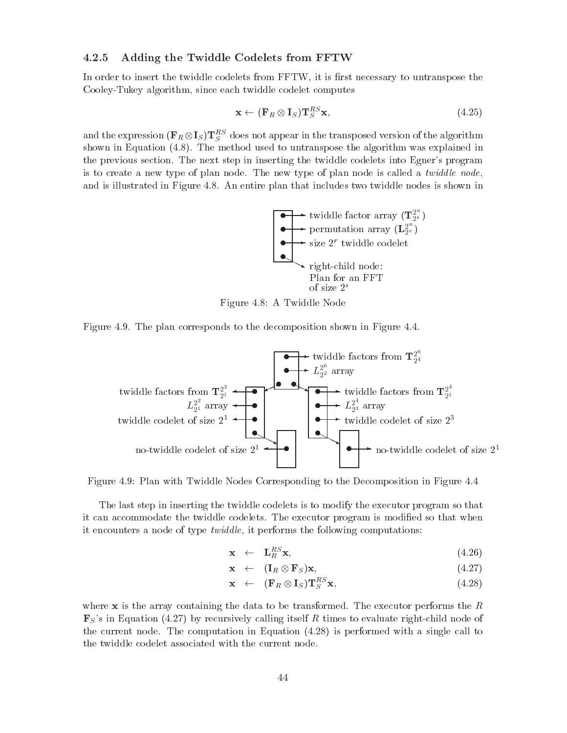### Adding the Twiddle Codelets from FFTW

In order to insert the twiddle codelets from FFTW, it is first necessary to untranspose the Cooley-Tukey algorithm, since each twiddle codelet computes

$$
\mathbf{x} \leftarrow (\mathbf{F}_R \otimes \mathbf{I}_S) \mathbf{T}_S^{RS} \mathbf{x},\tag{4.25}
$$

and the expression  $(\mathbf{r} \, \mathbb{R} \otimes \mathbf{I} \mathbb{S}) \, \mathbf{I} \, \mathbb{S}$  above not appear in the transposed version of the algorithm shown in Equation  $(4.8)$ . The method used to untranspose the algorithm was explained in the previous section. The next step in inserting the twiddle codelets into Egner's program is to create a new type of plan node. The new type of plan node is called a *twiddle node*, and is illustrated in Figure 4.8. An entire plan that includes two twiddle nodes is shown in





Figure 4.9. The plan corresponds to the decomposition shown in Figure  $4.4$ .



Figure 4.9: Plan with Twiddle Nodes Corresponding to the Decomposition in Figure 4.4

The last step in inserting the twiddle codelets is to modify the executor program so that it can accommodate the twiddle codelets. The executor program is modified so that when it encounters a node of type *twiddle*, it performs the following computations:

$$
\mathbf{x} \quad \leftarrow \quad \mathbf{L}_{R}^{RS} \mathbf{x}, \tag{4.26}
$$

$$
\mathbf{x} \quad \leftarrow \quad (\mathbf{I}_R \otimes \mathbf{F}_S) \mathbf{x}, \tag{4.27}
$$

$$
\mathbf{x} \quad \leftarrow \quad (\mathbf{F}_R \otimes \mathbf{I}_S) \mathbf{T}_S^{RS} \mathbf{x},\tag{4.28}
$$

where  $x$  is the array containing the data to be transformed. The executor performs the  $R$  $\mu$  s in Equation ( by  $\mu$  ) calling its line  $\mu$  calling its line of  $\mu$  is evaluate rights itself and of the current node The computation in Equation is performed with a single call to the twiddle codelet associated with the current node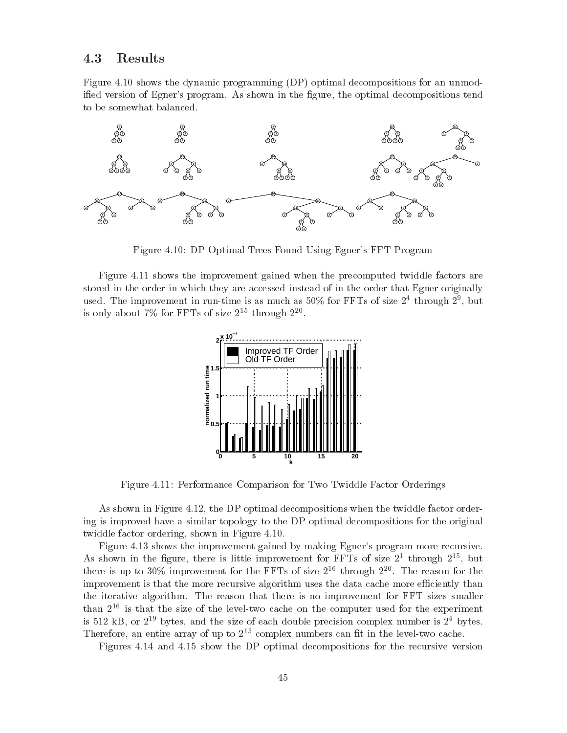#### 4.3 Results

Figure 4.10 shows the dynamic programming (DP) optimal decompositions for an unmodified version of Egner's program. As shown in the figure, the optimal decompositions tend to be somewhat balanced



Figure 4.10: DP Optimal Trees Found Using Egner's FFT Program

Figure 4.11 shows the improvement gained when the precomputed twiddle factors are stored in the order in which they are accessed instead of in the order that Egner originally used. The improvement in run-time is as much as  $50\%$  for FFTs of size  $2^+$  through  $2^+$ , but is only about  $\ell\gamma_0$  for FFTs of size  $Z^{**}$  through  $Z^{**}.$ 



Figure 4.11: Performance Comparison for Two Twiddle Factor Orderings

as shown in Figure . The Pierre order the twintight when the twist when the twisting when the twintight order ing is improved have a similar topology to the DP optimal decompositions for the original twiddle factor ordering, shown in Figure 4.10.

Figure 4.13 shows the improvement gained by making Egner's program more recursive. As snown in the ngure, there is little improvement for FFTs of size  $Z^\ast$  through  $Z^{\ast\ast}$ , but there is up to 30% improvement for the FFTs of size  $2^{**}$  through  $2^{**}$ . The reason for the improvement is that the more recursive algorithm uses the data cache more efficiently than the iterative algorithm. The reason that there is no improvement for FFT sizes smaller  ${\rm tan}~z^{-1}$  is that the size of the level-two cache on the computer used for the experiment is  $\mathfrak{sl}_2$  is a set  $\mathfrak{sl}_2$  bytes, and the size of each double precision complex number is  $\mathfrak{z}$  bytes. Inerefore, an entire array of up to 2<sup>--</sup> complex numbers can fit in the level-two cache.

Figures 4.14 and 4.15 show the DP optimal decompositions for the recursive version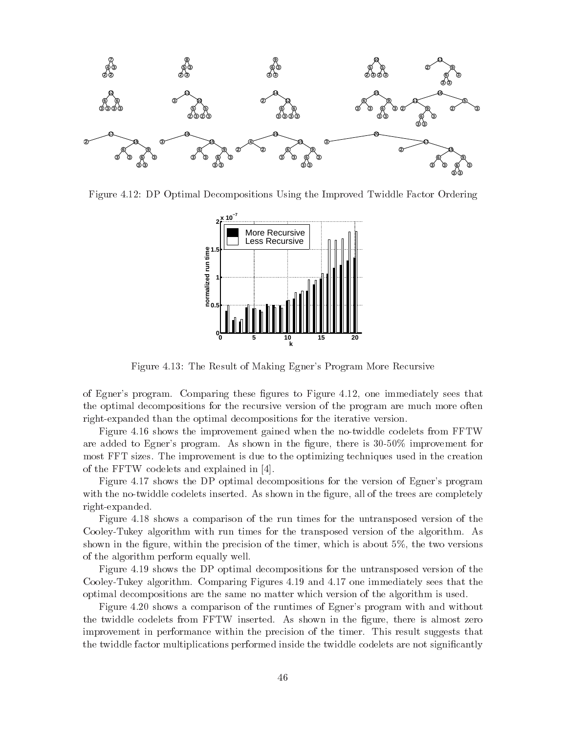

Figure DP Optimal Decompositions Using the Improved Twiddle Factor Ordering



Figure 4.13: The Result of Making Egner's Program More Recursive

of Egners program Comparing these space to Figure the medicine sees the those that the seed the optimal decompositions for the recursive version of the program are much more often right-expanded than the optimal decompositions for the iterative version.

Figure 4.16 shows the improvement gained when the no-twiddle codelets from FFTW are added to Egner's program. As shown in the figure, there is  $30-50\%$  improvement for most FFT sizes The improvement is due to the optimizing techniques used in the creation of the FFTW codelets and explained in [4].

Figure 4.17 shows the DP optimal decompositions for the version of Egner's program with the no-twiddle codelets inserted. As shown in the figure, all of the trees are completely right-expanded.

Figure 4.18 shows a comparison of the run times for the untransposed version of the Cooley-Tukey algorithm with run times for the transposed version of the algorithm. As shown in the figure, within the precision of the timer, which is about  $5\%$ , the two versions of the algorithm perform equally well

Figure 4.19 shows the DP optimal decompositions for the untransposed version of the Cooley-Tukey algorithm. Comparing Figures  $4.19$  and  $4.17$  one immediately sees that the optimal decompositions are the same no matter which version of the algorithm is used

Figure shows a comparison of the runtimes of Egners program with and without the twiddle codelets from FFTW inserted. As shown in the figure, there is almost zero improvement in performance within the precision of the timer. This result suggests that the twiddle factor multiplications performed inside the twiddle codelets are not significantly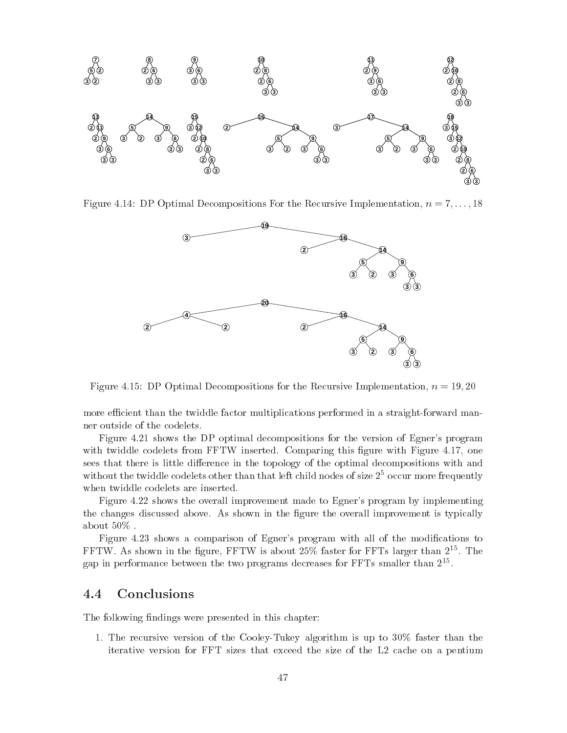

Figure DP Optimal Decompositions For the Recursive Implementation n --



Figure DP Optimal Decompositions for the Recursive Implementation n 
-

more efficient than the twiddle factor multiplications performed in a straight-forward manner outside of the codelets

Figure shows the DP optimal decompositions for the version of Egners program with twiddle codelets from  $\text{FFTW}$  inserted. Comparing this figure with Figure 4.17, one sees that there is little di-erence in the topology of the optimal decompositions with and without the twiddle codelets other than that left child nodes of size  $\mathfrak{z}^\circ$  occur more frequently when twiddle codelets are inserted

Figure shows the overall improvement made to Egners program by implementing the changes discussed above. As shown in the figure the overall improvement is typically about  $50\%$ .

Figure shows a comparison of Egners program with all of the modications to FFIW. As snown in the figure, FFIW is about 20% faster for FFIs larger than 2  $^\circ$  . The gap in performance between the two programs decreases for FFTs smaller than  $2^{zz}$ .

#### $4.4$ Conclusions

The following findings were presented in this chapter:

1. The recursive version of the Cooley-Tukey algorithm is up to  $30\%$  faster than the iterative version for FFT sizesthat exceed the size of the L cache on a pentium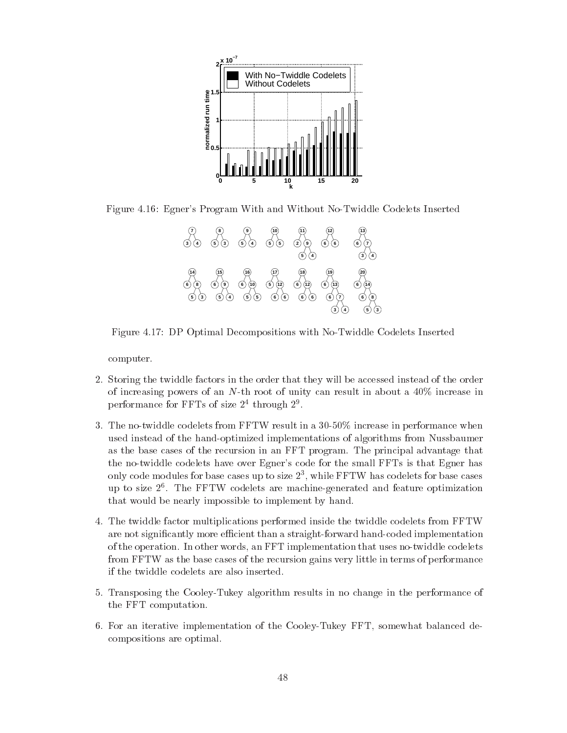

Figure 4.16: Egner's Program With and Without No-Twiddle Codelets Inserted



Figure 4.17: DP Optimal Decompositions with No-Twiddle Codelets Inserted

computer

- Storing the twiddle factors in the order that they will be accessed instead of the order of increasing powers of an  $N$ -th root of unity can result in about a  $40\%$  increase in performance for  ${\tt r}$   ${\tt r}$  is of size  ${\tt l}$  through  ${\tt l}$  .
- 3. The no-twiddle codelets from FFTW result in a  $30-50\%$  increase in performance when used instead of the hand-optimized implementations of algorithms from Nussbaumer as the base cases of the recursion in an FFT program The principal advantage that the no-twiddle codelets have over Egner's code for the small FFTs is that Egner has only code modules for base cases up to size  $\measuredangle$  , while FFTW has codelets for base cases up to size The FFTW codelets are machinegenerated and feature optimization that would be nearly impossible to implement by hand
- The twiddle factor multiplications performed inside the twiddle codelets from FFTW are not significantly more efficient than a straight-forward hand-coded implementation of the operation In other words an FFT implementation that uses notwiddle codelets from FFTW as the base cases of the recursion gains very little in terms of performance if the twiddle codelets are also inserted
- Transposing the CooleyTukey algorithm results in no change in the performance of the FFT computation
- 6. For an iterative implementation of the Cooley-Tukey FFT, somewhat balanced decompositions are optimal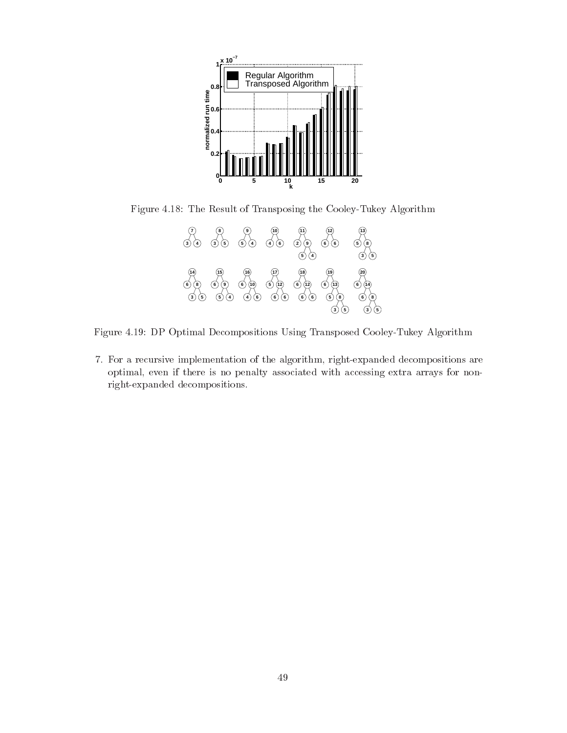

Figure 4.18: The Result of Transposing the Cooley-Tukey Algorithm



Figure 4.19: DP Optimal Decompositions Using Transposed Cooley-Tukey Algorithm

7. For a recursive implementation of the algorithm, right-expanded decompositions are optimal, even if there is no penalty associated with accessing extra arrays for nonright-expanded decompositions.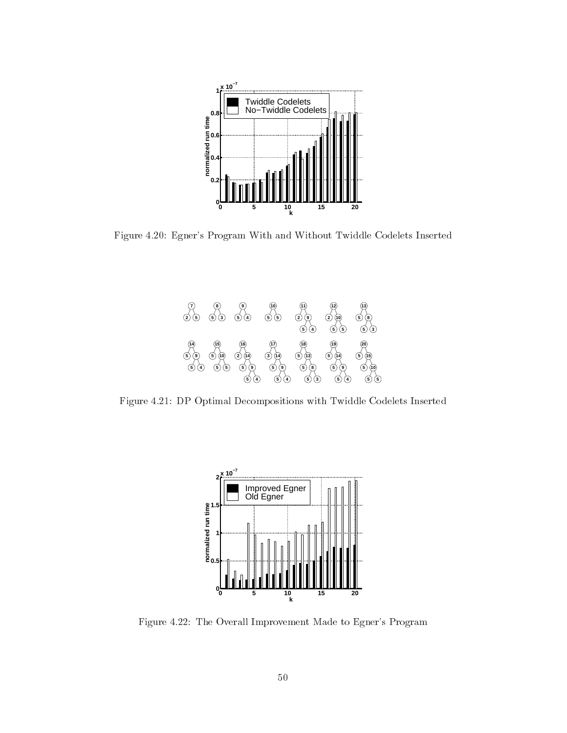

Figure Egners Program With and Without Twiddle Codelets Inserted



Figure DP Optimal Decompositions with Twiddle Codelets Inserted



Figure The Overall Improvement Made to Egners Program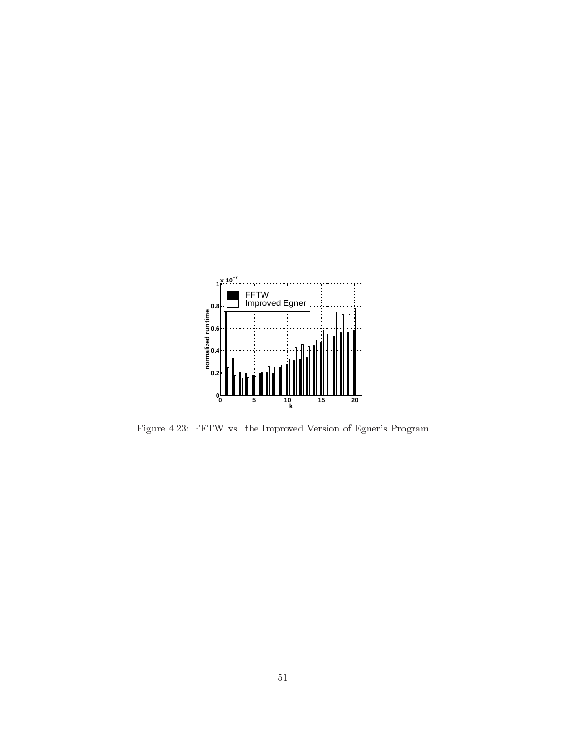

Figure FFTW vs the Improved Version of Egners Program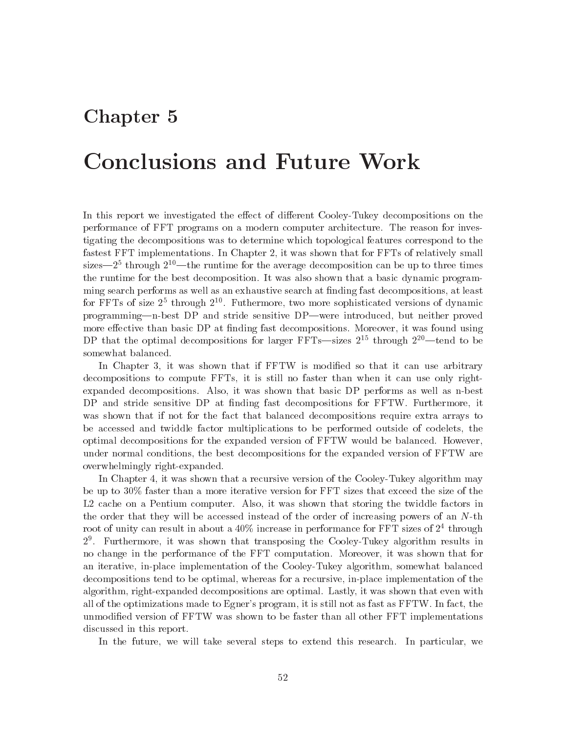## Chapter 5

## Conclusions and Future Work

ere the cooleyTukey we investigate the extension of the extension of distributions on the extension on the extension of the cooley performance of FFT programs on a modern computer architecture The reason for inves tigating the decompositions was to determine which topological features correspond to the fastest FFT implementations In Chapter it was shown that for FFTs of relatively small sizes—2" through 2""—the runtime for the average decomposition can be up to three times the runtime for the best decomposition It was also shown that a basic dynamic program ming search performs as well as an exhaustive search at finding fast decompositions, at least for **FFTs** of size 2<sup>+</sup> through 2<sup>++</sup>. Futhermore, two more sophisticated versions of dynamic programming—n-best DP and stride sensitive DP—were introduced, but neither proved more than basic decomposition of the attention of the attention of the contract of the composition of the contract of DP that the optimal decompositions for larger  $\texttt{Fr}$  is—sizes  $\texttt{Z}^+$  through  $\texttt{Z}^+$ —tend to be somewhat balanced

In Chapter 3, it was shown that if FFTW is modified so that it can use arbitrary decompositions to compute FFTs it is still no faster than when it can use only right expanded decompositions. Also, it was shown that basic DP performs as well as n-best DP and stride sensitive DP at finding fast decompositions for FFTW. Furthermore, it was shown that if not for the fact that balanced decompositions require extra arrays to be accessed and twiddle factor multiplications to be performed outside of codelets, the optimal decompositions for the expanded version of FFTW would be balanced. However, under normal conditions the best decompositions for the expanded version of FFTW are overwhelmingly right-expanded.

In Chapter 4, it was shown that a recursive version of the Cooley-Tukey algorithm may be up to 30% faster than a more iterative version for FFT sizes that exceed the size of the L cache on a Pentium computer Also it was shown that storing the twiddle factors in the order that they will be accessed instead of the order of increasing powers of an  $N$ -th root of unity can result in about a 40% increase in performance for FFT sizes of  $\boldsymbol{z}$  -through  $\mathcal{F}$ . Furthermore, it was shown that transposing the Cooley-Tukey algorithm results in no change in the performance of the FFT computation Moreover it was shown that for an iterative, in-place implementation of the Cooley-Tukey algorithm, somewhat balanced decompositions tend to be optimal, whereas for a recursive, in-place implementation of the algorithm, right-expanded decompositions are optimal. Lastly, it was shown that even with all of the optimizations made to Egner's program, it is still not as fast as FFTW. In fact, the unmodified version of FFTW was shown to be faster than all other FFT implementations discussed in this report

In the future, we will take several steps to extend this research. In particular, we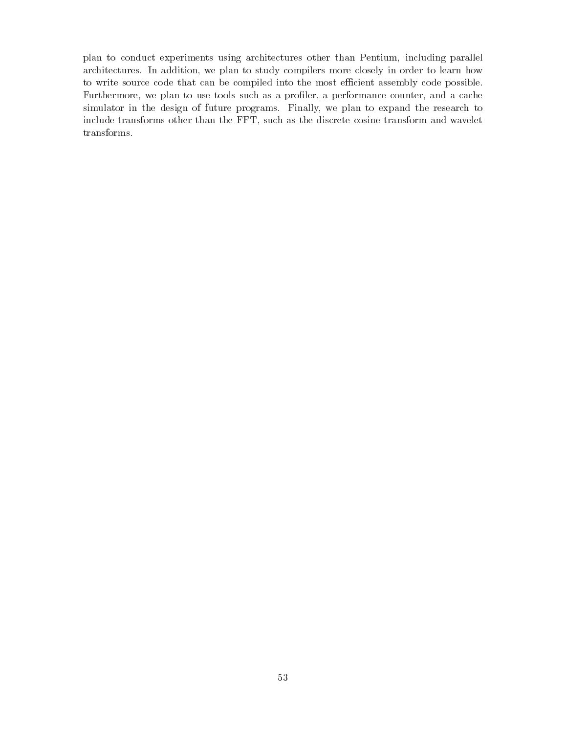plan to conduct experiments using architectures other than Pentium, including parallel architectures. In addition, we plan to study compilers more closely in order to learn how to write source code that can be compiled into the most efficient assembly code possible. Furthermore, we plan to use tools such as a profiler, a performance counter, and a cache simulator in the design of future programs. Finally, we plan to expand the research to include transforms other than the FFT, such as the discrete cosine transform and wavelet transforms